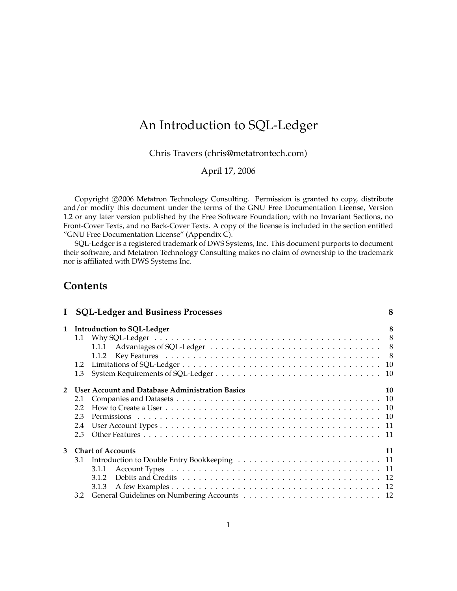# An Introduction to SQL-Ledger

Chris Travers [\(chris@metatrontech.com\)](mailto:chris@metatrontech.com)

April 17, 2006

Copyright ©2006 Metatron Technology Consulting. Permission is granted to copy, distribute and/or modify this document under the terms of the GNU Free Documentation License, Version 1.2 or any later version published by the Free Software Foundation; with no Invariant Sections, no Front-Cover Texts, and no Back-Cover Texts. A copy of the license is included in the section entitled "GNU Free Documentation License" (Appendix [C\)](#page-54-0).

SQL-Ledger is a registered trademark of DWS Systems, Inc. This document purports to document their software, and Metatron Technology Consulting makes no claim of ownership to the trademark nor is affiliated with DWS Systems Inc.

# **Contents**

|              | <b>SQL-Ledger and Business Processes</b>               | 8  |
|--------------|--------------------------------------------------------|----|
| $\mathbf{1}$ | <b>Introduction to SQL-Ledger</b>                      | 8  |
|              | 1.1                                                    |    |
|              |                                                        |    |
|              | 1.1.2                                                  |    |
|              | 1.2                                                    |    |
|              | 1.3                                                    |    |
|              |                                                        |    |
|              | <b>User Account and Database Administration Basics</b> | 10 |
|              | 2.1                                                    |    |
|              | 2.2                                                    |    |
|              | 2.3                                                    |    |
|              | 2.4                                                    |    |
|              | 2.5                                                    |    |
|              |                                                        |    |
| 3            | <b>Chart of Accounts</b>                               | 11 |
|              |                                                        |    |
|              | 3.1.1                                                  |    |
|              | 312                                                    |    |
|              | 3.1.3                                                  |    |
|              | 3.2                                                    |    |
|              |                                                        |    |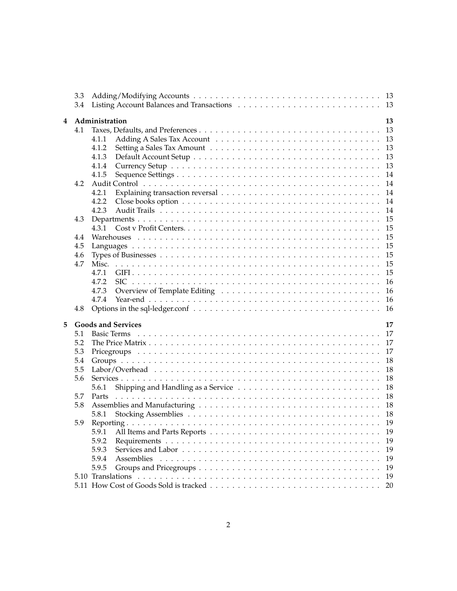|   | 3.3 |                                 |  |  |  |  |  |  |
|---|-----|---------------------------------|--|--|--|--|--|--|
|   | 3.4 | -13                             |  |  |  |  |  |  |
|   |     |                                 |  |  |  |  |  |  |
| 4 |     | Administration<br>13            |  |  |  |  |  |  |
|   |     |                                 |  |  |  |  |  |  |
|   | 4.1 | 13                              |  |  |  |  |  |  |
|   |     | 13<br>4.1.1                     |  |  |  |  |  |  |
|   |     | 4.1.2<br>13                     |  |  |  |  |  |  |
|   |     | 4.1.3<br>13                     |  |  |  |  |  |  |
|   |     | 4.1.4<br>13                     |  |  |  |  |  |  |
|   |     | 4.1.5<br>14                     |  |  |  |  |  |  |
|   |     |                                 |  |  |  |  |  |  |
|   | 4.2 | 14                              |  |  |  |  |  |  |
|   |     | 4.2.1<br>14                     |  |  |  |  |  |  |
|   |     | 4.2.2<br>14                     |  |  |  |  |  |  |
|   |     | 4.2.3<br>14                     |  |  |  |  |  |  |
|   | 4.3 | 15                              |  |  |  |  |  |  |
|   |     | 15<br>4.3.1                     |  |  |  |  |  |  |
|   |     |                                 |  |  |  |  |  |  |
|   | 4.4 | 15                              |  |  |  |  |  |  |
|   | 4.5 | 15                              |  |  |  |  |  |  |
|   | 4.6 | 15                              |  |  |  |  |  |  |
|   | 4.7 | 15                              |  |  |  |  |  |  |
|   |     | 4.7.1<br>15                     |  |  |  |  |  |  |
|   |     | 4.7.2<br>16                     |  |  |  |  |  |  |
|   |     |                                 |  |  |  |  |  |  |
|   |     | 4.7.3<br>16                     |  |  |  |  |  |  |
|   |     | 4.7.4<br>16                     |  |  |  |  |  |  |
|   | 4.8 | 16                              |  |  |  |  |  |  |
|   |     |                                 |  |  |  |  |  |  |
| 5 |     | <b>Goods and Services</b><br>17 |  |  |  |  |  |  |
|   | 5.1 | 17<br><b>Basic Terms</b>        |  |  |  |  |  |  |
|   | 5.2 | 17                              |  |  |  |  |  |  |
|   | 5.3 | 17                              |  |  |  |  |  |  |
|   |     |                                 |  |  |  |  |  |  |
|   | 5.4 | 18                              |  |  |  |  |  |  |
|   | 5.5 | 18                              |  |  |  |  |  |  |
|   | 5.6 | 18                              |  |  |  |  |  |  |
|   |     | 18<br>5.6.1                     |  |  |  |  |  |  |
|   | 5.7 | 18<br>Parts                     |  |  |  |  |  |  |
|   | 5.8 | 18                              |  |  |  |  |  |  |
|   |     |                                 |  |  |  |  |  |  |
|   |     | 18<br>5.8.1                     |  |  |  |  |  |  |
|   | 5.9 | 19                              |  |  |  |  |  |  |
|   |     | 5.9.1<br>19                     |  |  |  |  |  |  |
|   |     | 5.9.2<br>19                     |  |  |  |  |  |  |
|   |     | 5.9.3<br>19                     |  |  |  |  |  |  |
|   |     | 5.9.4<br>19                     |  |  |  |  |  |  |
|   |     |                                 |  |  |  |  |  |  |
|   |     | 5.9.5<br>19                     |  |  |  |  |  |  |
|   |     | 19                              |  |  |  |  |  |  |
|   |     | 20                              |  |  |  |  |  |  |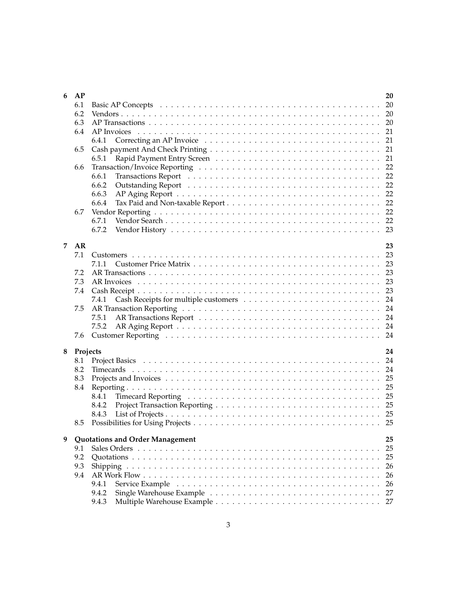| 6              | AP       | 20                                    |
|----------------|----------|---------------------------------------|
|                | 6.1      |                                       |
|                | 6.2      |                                       |
|                | 6.3      |                                       |
|                | 6.4      | 21                                    |
|                |          | 21<br>6.4.1                           |
|                | 6.5      | 21                                    |
|                |          | 21                                    |
|                |          | 6.5.1                                 |
|                | 6.6      | 22                                    |
|                |          | 22<br>6.6.1                           |
|                |          | 6.6.2<br>22                           |
|                |          | 6.6.3                                 |
|                |          | 6.6.4                                 |
|                | 6.7      |                                       |
|                |          | 6.7.1                                 |
|                |          | 6.7.2                                 |
|                |          |                                       |
| $\overline{7}$ | AR       | 23                                    |
|                | 7.1      |                                       |
|                |          | 7.1.1                                 |
|                | 7.2      | 23                                    |
|                | 7.3      | 23                                    |
|                | 7.4      |                                       |
|                |          |                                       |
|                |          | 7.4.1                                 |
|                | 7.5      |                                       |
|                |          | 7.5.1                                 |
|                |          | 7.5.2                                 |
|                | 7.6      |                                       |
|                |          |                                       |
| 8              | Projects | 24                                    |
|                | 8.1      |                                       |
|                | 8.2      |                                       |
|                | 8.3      | 25                                    |
|                | 8.4      | 25                                    |
|                |          | 8.4.1                                 |
|                |          | 8.4.2                                 |
|                |          | 8.4.3                                 |
|                | 8.5      |                                       |
|                |          |                                       |
| 9              |          | Quotations and Order Management<br>25 |
|                | 9.1      | 25                                    |
|                | 9.2      | 25                                    |
|                | 9.3      | 26                                    |
|                |          |                                       |
|                | 9.4      | 26                                    |
|                |          | 9.4.1<br>26                           |
|                |          | 27<br>9.4.2                           |
|                |          | 27<br>9.4.3                           |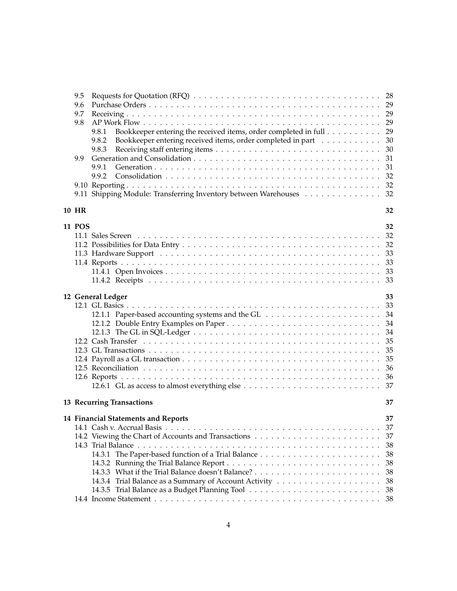| 9.5           |                                                                             |  |
|---------------|-----------------------------------------------------------------------------|--|
| 9.6           |                                                                             |  |
| 9.7           |                                                                             |  |
| 9.8           |                                                                             |  |
|               | Bookkeeper entering the received items, order completed in full 29<br>9.8.1 |  |
|               | 9.8.2<br>Bookkeeper entering received items, order completed in part<br>30  |  |
|               | 9.8.3<br>30                                                                 |  |
| 9.9           | 31                                                                          |  |
|               | 9.9.1<br>31                                                                 |  |
|               | 32<br>9.9.2                                                                 |  |
|               |                                                                             |  |
|               | 9.11 Shipping Module: Transferring Inventory between Warehouses 32          |  |
|               |                                                                             |  |
| <b>10 HR</b>  | 32                                                                          |  |
|               |                                                                             |  |
| <b>11 POS</b> | 32                                                                          |  |
|               |                                                                             |  |
|               |                                                                             |  |
|               | 33                                                                          |  |
|               | 33                                                                          |  |
|               | 33                                                                          |  |
|               | 33                                                                          |  |
|               |                                                                             |  |
|               | 12 General Ledger<br>33                                                     |  |
|               |                                                                             |  |
|               |                                                                             |  |
|               | 34                                                                          |  |
|               | 34                                                                          |  |
|               | 35                                                                          |  |
|               | 35                                                                          |  |
|               | 35                                                                          |  |
|               | 36                                                                          |  |
|               |                                                                             |  |
|               |                                                                             |  |
|               |                                                                             |  |
|               | 13 Recurring Transactions<br>37                                             |  |
|               | 14 Financial Statements and Reports<br>37                                   |  |
|               | 37                                                                          |  |
|               |                                                                             |  |
|               | 38                                                                          |  |
|               | 38                                                                          |  |
|               | 38                                                                          |  |
|               | 38                                                                          |  |
|               |                                                                             |  |
|               | 38                                                                          |  |
|               |                                                                             |  |
|               |                                                                             |  |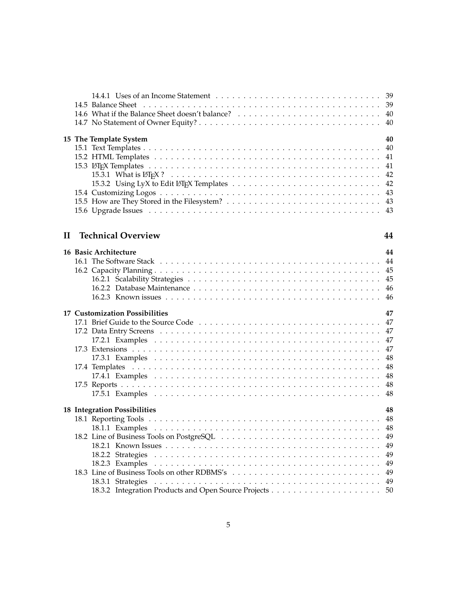|          | 15 The Template System          | 40 |
|----------|---------------------------------|----|
|          |                                 |    |
|          |                                 |    |
|          |                                 |    |
|          |                                 |    |
|          |                                 |    |
|          |                                 |    |
|          |                                 |    |
|          |                                 |    |
|          |                                 |    |
|          |                                 |    |
|          |                                 |    |
| $\rm II$ | <b>Technical Overview</b><br>44 |    |
|          |                                 |    |
|          | 16 Basic Architecture           | 44 |
|          |                                 |    |
|          |                                 |    |
|          |                                 |    |
|          |                                 |    |
|          |                                 |    |
|          |                                 |    |
|          |                                 |    |

|  | <b>17 Customization Possibilities</b> | 47 |
|--|---------------------------------------|----|
|  |                                       |    |
|  |                                       |    |
|  |                                       |    |
|  |                                       |    |
|  |                                       |    |
|  |                                       |    |
|  |                                       |    |
|  |                                       |    |
|  |                                       |    |
|  |                                       |    |
|  | <b>18 Integration Possibilities</b>   | 48 |
|  |                                       |    |
|  |                                       |    |
|  |                                       |    |
|  |                                       |    |
|  |                                       |    |
|  |                                       |    |
|  |                                       |    |
|  |                                       |    |
|  |                                       |    |
|  |                                       |    |
|  |                                       |    |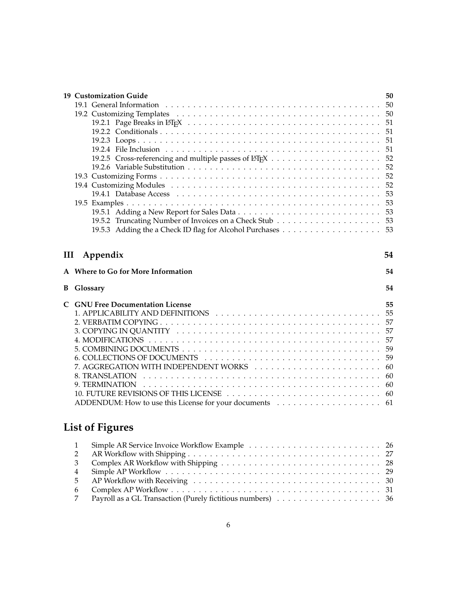|   | 19 Customization Guide                  | 50       |  |  |  |  |
|---|-----------------------------------------|----------|--|--|--|--|
|   |                                         | 50       |  |  |  |  |
|   |                                         | 50       |  |  |  |  |
|   |                                         | 51       |  |  |  |  |
|   |                                         | 51       |  |  |  |  |
|   |                                         | 51       |  |  |  |  |
|   |                                         | 51       |  |  |  |  |
|   |                                         | 52<br>52 |  |  |  |  |
|   |                                         |          |  |  |  |  |
|   |                                         | 52       |  |  |  |  |
|   |                                         | 52       |  |  |  |  |
|   |                                         | 53       |  |  |  |  |
|   |                                         | 53       |  |  |  |  |
|   |                                         | 53       |  |  |  |  |
|   |                                         |          |  |  |  |  |
|   |                                         |          |  |  |  |  |
|   |                                         |          |  |  |  |  |
| Ш | Appendix                                | 54       |  |  |  |  |
|   |                                         |          |  |  |  |  |
|   | A Where to Go for More Information      | 54       |  |  |  |  |
| В | Glossary                                | 54       |  |  |  |  |
|   |                                         |          |  |  |  |  |
|   |                                         |          |  |  |  |  |
|   | <b>C</b> GNU Free Documentation License | 55       |  |  |  |  |
|   |                                         | 57       |  |  |  |  |
|   |                                         |          |  |  |  |  |
|   |                                         | 57<br>57 |  |  |  |  |
|   |                                         | 59       |  |  |  |  |
|   |                                         | 59       |  |  |  |  |
|   |                                         | 60       |  |  |  |  |
|   | 8. TRANSLATION                          | 60       |  |  |  |  |
|   | 9. TERMINATION                          | 60       |  |  |  |  |
|   |                                         | 60       |  |  |  |  |
|   |                                         |          |  |  |  |  |
|   |                                         |          |  |  |  |  |
|   | <b>List of Figures</b>                  |          |  |  |  |  |

| 1 Simple AR Service Invoice Workflow Example  26 |
|--------------------------------------------------|
|                                                  |
|                                                  |
|                                                  |
|                                                  |
|                                                  |
|                                                  |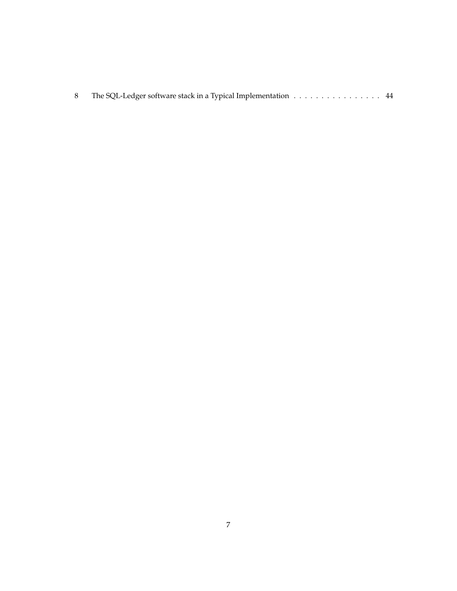|  | The SQL-Ledger software stack in a Typical Implementation 44 |  |
|--|--------------------------------------------------------------|--|
|  |                                                              |  |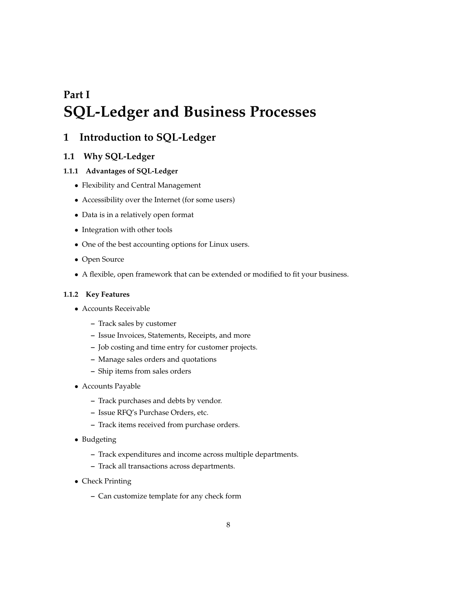# <span id="page-7-0"></span>**Part I SQL-Ledger and Business Processes**

# <span id="page-7-1"></span>**1 Introduction to SQL-Ledger**

# <span id="page-7-2"></span>**1.1 Why SQL-Ledger**

## <span id="page-7-3"></span>**1.1.1 Advantages of SQL-Ledger**

- Flexibility and Central Management
- Accessibility over the Internet (for some users)
- Data is in a relatively open format
- Integration with other tools
- One of the best accounting options for Linux users.
- Open Source
- A flexible, open framework that can be extended or modified to fit your business.

### <span id="page-7-4"></span>**1.1.2 Key Features**

- Accounts Receivable
	- **–** Track sales by customer
	- **–** Issue Invoices, Statements, Receipts, and more
	- **–** Job costing and time entry for customer projects.
	- **–** Manage sales orders and quotations
	- **–** Ship items from sales orders
- Accounts Payable
	- **–** Track purchases and debts by vendor.
	- **–** Issue RFQ's Purchase Orders, etc.
	- **–** Track items received from purchase orders.
- Budgeting
	- **–** Track expenditures and income across multiple departments.
	- **–** Track all transactions across departments.
- Check Printing
	- **–** Can customize template for any check form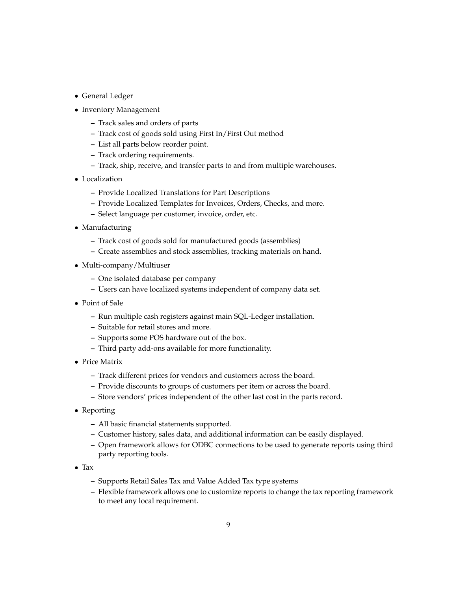- General Ledger
- Inventory Management
	- **–** Track sales and orders of parts
	- **–** Track cost of goods sold using First In/First Out method
	- **–** List all parts below reorder point.
	- **–** Track ordering requirements.
	- **–** Track, ship, receive, and transfer parts to and from multiple warehouses.
- Localization
	- **–** Provide Localized Translations for Part Descriptions
	- **–** Provide Localized Templates for Invoices, Orders, Checks, and more.
	- **–** Select language per customer, invoice, order, etc.
- Manufacturing
	- **–** Track cost of goods sold for manufactured goods (assemblies)
	- **–** Create assemblies and stock assemblies, tracking materials on hand.
- Multi-company/Multiuser
	- **–** One isolated database per company
	- **–** Users can have localized systems independent of company data set.
- Point of Sale
	- **–** Run multiple cash registers against main SQL-Ledger installation.
	- **–** Suitable for retail stores and more.
	- **–** Supports some POS hardware out of the box.
	- **–** Third party add-ons available for more functionality.
- Price Matrix
	- **–** Track different prices for vendors and customers across the board.
	- **–** Provide discounts to groups of customers per item or across the board.
	- **–** Store vendors' prices independent of the other last cost in the parts record.
- Reporting
	- **–** All basic financial statements supported.
	- **–** Customer history, sales data, and additional information can be easily displayed.
	- **–** Open framework allows for ODBC connections to be used to generate reports using third party reporting tools.
- Tax
	- **–** Supports Retail Sales Tax and Value Added Tax type systems
	- **–** Flexible framework allows one to customize reports to change the tax reporting framework to meet any local requirement.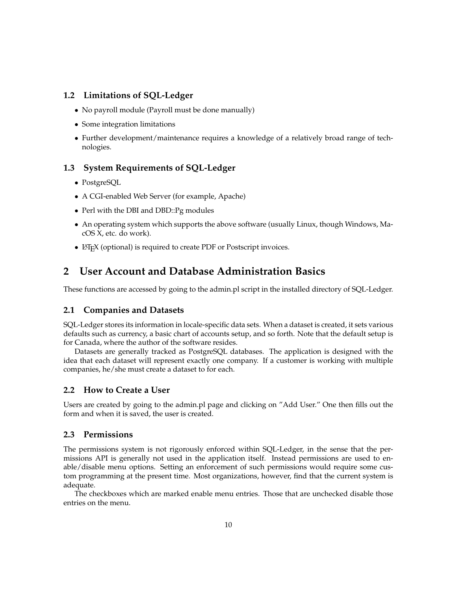# <span id="page-9-0"></span>**1.2 Limitations of SQL-Ledger**

- No payroll module (Payroll must be done manually)
- Some integration limitations
- Further development/maintenance requires a knowledge of a relatively broad range of technologies.

# <span id="page-9-1"></span>**1.3 System Requirements of SQL-Ledger**

- PostgreSQL
- A CGI-enabled Web Server (for example, Apache)
- Perl with the DBI and DBD::Pg modules
- An operating system which supports the above software (usually Linux, though Windows, MacOS X, etc. do work).
- LAT<sub>E</sub>X (optional) is required to create PDF or Postscript invoices.

# <span id="page-9-2"></span>**2 User Account and Database Administration Basics**

These functions are accessed by going to the admin.pl script in the installed directory of SQL-Ledger.

# <span id="page-9-3"></span>**2.1 Companies and Datasets**

SQL-Ledger stores its information in locale-specific data sets. When a dataset is created, it sets various defaults such as currency, a basic chart of accounts setup, and so forth. Note that the default setup is for Canada, where the author of the software resides.

Datasets are generally tracked as PostgreSQL databases. The application is designed with the idea that each dataset will represent exactly one company. If a customer is working with multiple companies, he/she must create a dataset to for each.

## <span id="page-9-4"></span>**2.2 How to Create a User**

Users are created by going to the admin.pl page and clicking on "Add User." One then fills out the form and when it is saved, the user is created.

# <span id="page-9-5"></span>**2.3 Permissions**

The permissions system is not rigorously enforced within SQL-Ledger, in the sense that the permissions API is generally not used in the application itself. Instead permissions are used to enable/disable menu options. Setting an enforcement of such permissions would require some custom programming at the present time. Most organizations, however, find that the current system is adequate.

The checkboxes which are marked enable menu entries. Those that are unchecked disable those entries on the menu.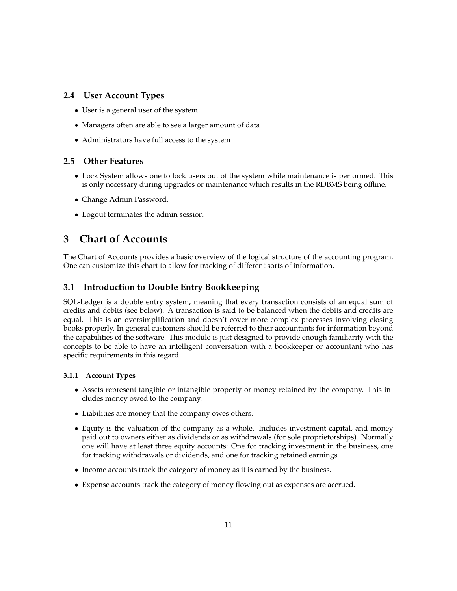# <span id="page-10-0"></span>**2.4 User Account Types**

- User is a general user of the system
- Managers often are able to see a larger amount of data
- Administrators have full access to the system

# <span id="page-10-1"></span>**2.5 Other Features**

- Lock System allows one to lock users out of the system while maintenance is performed. This is only necessary during upgrades or maintenance which results in the RDBMS being offline.
- Change Admin Password.
- Logout terminates the admin session.

# <span id="page-10-2"></span>**3 Chart of Accounts**

The Chart of Accounts provides a basic overview of the logical structure of the accounting program. One can customize this chart to allow for tracking of different sorts of information.

# <span id="page-10-3"></span>**3.1 Introduction to Double Entry Bookkeeping**

SQL-Ledger is a double entry system, meaning that every transaction consists of an equal sum of credits and debits (see below). A transaction is said to be balanced when the debits and credits are equal. This is an oversimplification and doesn't cover more complex processes involving closing books properly. In general customers should be referred to their accountants for information beyond the capabilities of the software. This module is just designed to provide enough familiarity with the concepts to be able to have an intelligent conversation with a bookkeeper or accountant who has specific requirements in this regard.

# <span id="page-10-4"></span>**3.1.1 Account Types**

- Assets represent tangible or intangible property or money retained by the company. This includes money owed to the company.
- Liabilities are money that the company owes others.
- Equity is the valuation of the company as a whole. Includes investment capital, and money paid out to owners either as dividends or as withdrawals (for sole proprietorships). Normally one will have at least three equity accounts: One for tracking investment in the business, one for tracking withdrawals or dividends, and one for tracking retained earnings.
- Income accounts track the category of money as it is earned by the business.
- Expense accounts track the category of money flowing out as expenses are accrued.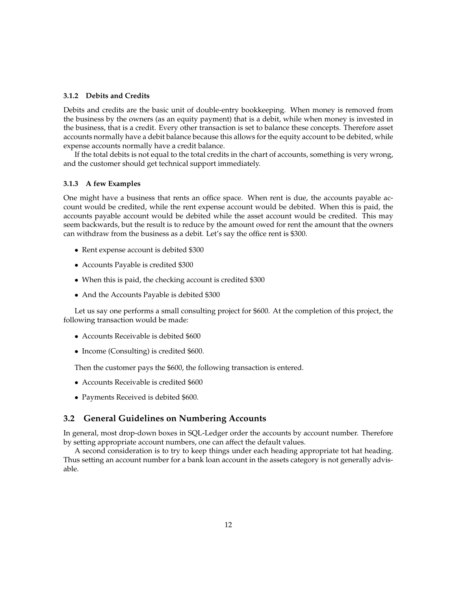### <span id="page-11-0"></span>**3.1.2 Debits and Credits**

Debits and credits are the basic unit of double-entry bookkeeping. When money is removed from the business by the owners (as an equity payment) that is a debit, while when money is invested in the business, that is a credit. Every other transaction is set to balance these concepts. Therefore asset accounts normally have a debit balance because this allows for the equity account to be debited, while expense accounts normally have a credit balance.

If the total debits is not equal to the total credits in the chart of accounts, something is very wrong, and the customer should get technical support immediately.

#### <span id="page-11-1"></span>**3.1.3 A few Examples**

One might have a business that rents an office space. When rent is due, the accounts payable account would be credited, while the rent expense account would be debited. When this is paid, the accounts payable account would be debited while the asset account would be credited. This may seem backwards, but the result is to reduce by the amount owed for rent the amount that the owners can withdraw from the business as a debit. Let's say the office rent is \$300.

- Rent expense account is debited \$300
- Accounts Payable is credited \$300
- When this is paid, the checking account is credited \$300
- And the Accounts Payable is debited \$300

Let us say one performs a small consulting project for \$600. At the completion of this project, the following transaction would be made:

- Accounts Receivable is debited \$600
- Income (Consulting) is credited \$600.

Then the customer pays the \$600, the following transaction is entered.

- Accounts Receivable is credited \$600
- Payments Received is debited \$600.

### <span id="page-11-2"></span>**3.2 General Guidelines on Numbering Accounts**

In general, most drop-down boxes in SQL-Ledger order the accounts by account number. Therefore by setting appropriate account numbers, one can affect the default values.

A second consideration is to try to keep things under each heading appropriate tot hat heading. Thus setting an account number for a bank loan account in the assets category is not generally advisable.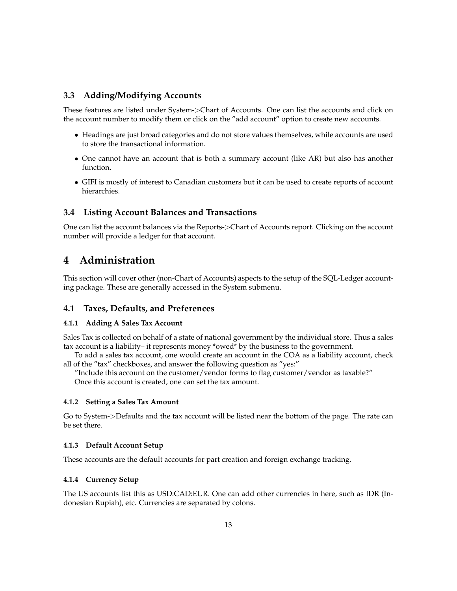# <span id="page-12-0"></span>**3.3 Adding/Modifying Accounts**

These features are listed under System->Chart of Accounts. One can list the accounts and click on the account number to modify them or click on the "add account" option to create new accounts.

- Headings are just broad categories and do not store values themselves, while accounts are used to store the transactional information.
- One cannot have an account that is both a summary account (like AR) but also has another function.
- GIFI is mostly of interest to Canadian customers but it can be used to create reports of account hierarchies.

### <span id="page-12-1"></span>**3.4 Listing Account Balances and Transactions**

One can list the account balances via the Reports->Chart of Accounts report. Clicking on the account number will provide a ledger for that account.

# <span id="page-12-2"></span>**4 Administration**

This section will cover other (non-Chart of Accounts) aspects to the setup of the SQL-Ledger accounting package. These are generally accessed in the System submenu.

### <span id="page-12-3"></span>**4.1 Taxes, Defaults, and Preferences**

### <span id="page-12-4"></span>**4.1.1 Adding A Sales Tax Account**

Sales Tax is collected on behalf of a state of national government by the individual store. Thus a sales tax account is a liability– it represents money \*owed\* by the business to the government.

To add a sales tax account, one would create an account in the COA as a liability account, check all of the "tax" checkboxes, and answer the following question as "yes:"

"Include this account on the customer/vendor forms to flag customer/vendor as taxable?" Once this account is created, one can set the tax amount.

### <span id="page-12-5"></span>**4.1.2 Setting a Sales Tax Amount**

Go to System->Defaults and the tax account will be listed near the bottom of the page. The rate can be set there.

### <span id="page-12-6"></span>**4.1.3 Default Account Setup**

These accounts are the default accounts for part creation and foreign exchange tracking.

### <span id="page-12-7"></span>**4.1.4 Currency Setup**

The US accounts list this as USD:CAD:EUR. One can add other currencies in here, such as IDR (Indonesian Rupiah), etc. Currencies are separated by colons.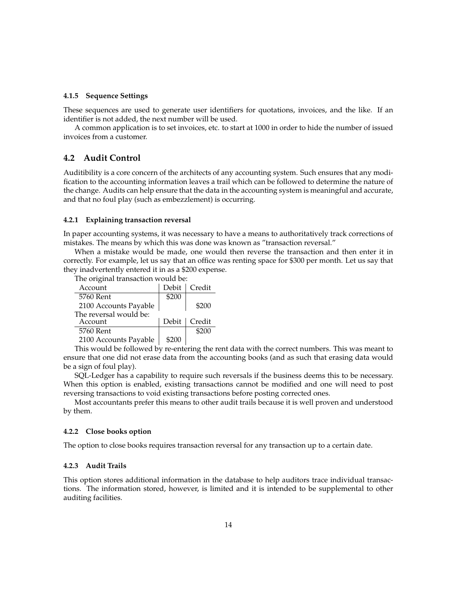### <span id="page-13-0"></span>**4.1.5 Sequence Settings**

These sequences are used to generate user identifiers for quotations, invoices, and the like. If an identifier is not added, the next number will be used.

A common application is to set invoices, etc. to start at 1000 in order to hide the number of issued invoices from a customer.

### <span id="page-13-1"></span>**4.2 Audit Control**

Auditibility is a core concern of the architects of any accounting system. Such ensures that any modification to the accounting information leaves a trail which can be followed to determine the nature of the change. Audits can help ensure that the data in the accounting system is meaningful and accurate, and that no foul play (such as embezzlement) is occurring.

#### <span id="page-13-2"></span>**4.2.1 Explaining transaction reversal**

The original transaction would be:

In paper accounting systems, it was necessary to have a means to authoritatively track corrections of mistakes. The means by which this was done was known as "transaction reversal."

When a mistake would be made, one would then reverse the transaction and then enter it in correctly. For example, let us say that an office was renting space for \$300 per month. Let us say that they inadvertently entered it in as a \$200 expense.

| Account                | Debit | Credit         |
|------------------------|-------|----------------|
| 5760 Rent              | \$200 |                |
| 2100 Accounts Payable  |       | \$200          |
| The reversal would be: |       |                |
| Account                |       | Debit   Credit |
| 5760 Rent              |       | \$200          |
| 2100 Accounts Payable  | \$200 |                |

This would be followed by re-entering the rent data with the correct numbers. This was meant to ensure that one did not erase data from the accounting books (and as such that erasing data would be a sign of foul play).

SQL-Ledger has a capability to require such reversals if the business deems this to be necessary. When this option is enabled, existing transactions cannot be modified and one will need to post reversing transactions to void existing transactions before posting corrected ones.

Most accountants prefer this means to other audit trails because it is well proven and understood by them.

### <span id="page-13-3"></span>**4.2.2 Close books option**

The option to close books requires transaction reversal for any transaction up to a certain date.

### <span id="page-13-4"></span>**4.2.3 Audit Trails**

This option stores additional information in the database to help auditors trace individual transactions. The information stored, however, is limited and it is intended to be supplemental to other auditing facilities.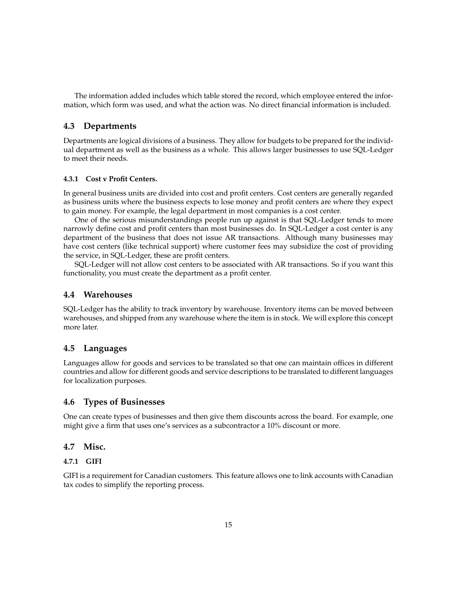The information added includes which table stored the record, which employee entered the information, which form was used, and what the action was. No direct financial information is included.

### <span id="page-14-0"></span>**4.3 Departments**

Departments are logical divisions of a business. They allow for budgets to be prepared for the individual department as well as the business as a whole. This allows larger businesses to use SQL-Ledger to meet their needs.

#### <span id="page-14-1"></span>**4.3.1 Cost v Profit Centers.**

In general business units are divided into cost and profit centers. Cost centers are generally regarded as business units where the business expects to lose money and profit centers are where they expect to gain money. For example, the legal department in most companies is a cost center.

One of the serious misunderstandings people run up against is that SQL-Ledger tends to more narrowly define cost and profit centers than most businesses do. In SQL-Ledger a cost center is any department of the business that does not issue AR transactions. Although many businesses may have cost centers (like technical support) where customer fees may subsidize the cost of providing the service, in SQL-Ledger, these are profit centers.

SQL-Ledger will not allow cost centers to be associated with AR transactions. So if you want this functionality, you must create the department as a profit center.

### <span id="page-14-2"></span>**4.4 Warehouses**

SQL-Ledger has the ability to track inventory by warehouse. Inventory items can be moved between warehouses, and shipped from any warehouse where the item is in stock. We will explore this concept more later.

# <span id="page-14-3"></span>**4.5 Languages**

Languages allow for goods and services to be translated so that one can maintain offices in different countries and allow for different goods and service descriptions to be translated to different languages for localization purposes.

### <span id="page-14-4"></span>**4.6 Types of Businesses**

One can create types of businesses and then give them discounts across the board. For example, one might give a firm that uses one's services as a subcontractor a 10% discount or more.

### <span id="page-14-5"></span>**4.7 Misc.**

#### <span id="page-14-6"></span>**4.7.1 GIFI**

GIFI is a requirement for Canadian customers. This feature allows one to link accounts with Canadian tax codes to simplify the reporting process.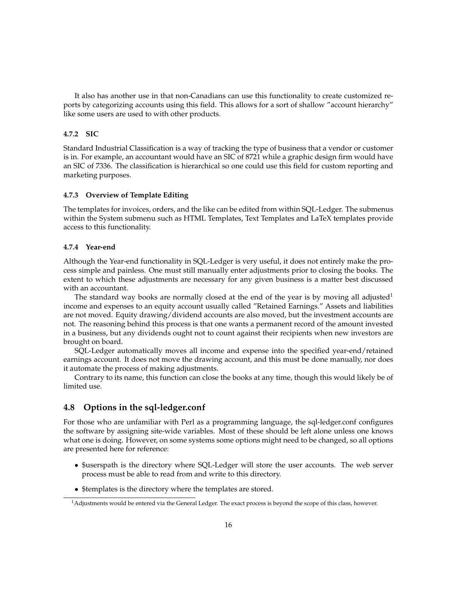It also has another use in that non-Canadians can use this functionality to create customized reports by categorizing accounts using this field. This allows for a sort of shallow "account hierarchy" like some users are used to with other products.

#### <span id="page-15-0"></span>**4.7.2 SIC**

Standard Industrial Classification is a way of tracking the type of business that a vendor or customer is in. For example, an accountant would have an SIC of 8721 while a graphic design firm would have an SIC of 7336. The classification is hierarchical so one could use this field for custom reporting and marketing purposes.

### <span id="page-15-1"></span>**4.7.3 Overview of Template Editing**

The templates for invoices, orders, and the like can be edited from within SQL-Ledger. The submenus within the System submenu such as HTML Templates, Text Templates and LaTeX templates provide access to this functionality.

#### <span id="page-15-2"></span>**4.7.4 Year-end**

Although the Year-end functionality in SQL-Ledger is very useful, it does not entirely make the process simple and painless. One must still manually enter adjustments prior to closing the books. The extent to which these adjustments are necessary for any given business is a matter best discussed with an accountant.

The standard way books are normally closed at the end of the year is by moving all adjusted<sup>[1](#page-15-4)</sup> income and expenses to an equity account usually called "Retained Earnings." Assets and liabilities are not moved. Equity drawing/dividend accounts are also moved, but the investment accounts are not. The reasoning behind this process is that one wants a permanent record of the amount invested in a business, but any dividends ought not to count against their recipients when new investors are brought on board.

SQL-Ledger automatically moves all income and expense into the specified year-end/retained earnings account. It does not move the drawing account, and this must be done manually, nor does it automate the process of making adjustments.

Contrary to its name, this function can close the books at any time, though this would likely be of limited use.

## <span id="page-15-3"></span>**4.8 Options in the sql-ledger.conf**

For those who are unfamiliar with Perl as a programming language, the sql-ledger.conf configures the software by assigning site-wide variables. Most of these should be left alone unless one knows what one is doing. However, on some systems some options might need to be changed, so all options are presented here for reference:

- \$userspath is the directory where SQL-Ledger will store the user accounts. The web server process must be able to read from and write to this directory.
- \$templates is the directory where the templates are stored.

<span id="page-15-4"></span> $<sup>1</sup>$ Adjustments would be entered via the General Ledger. The exact process is beyond the scope of this class, however.</sup>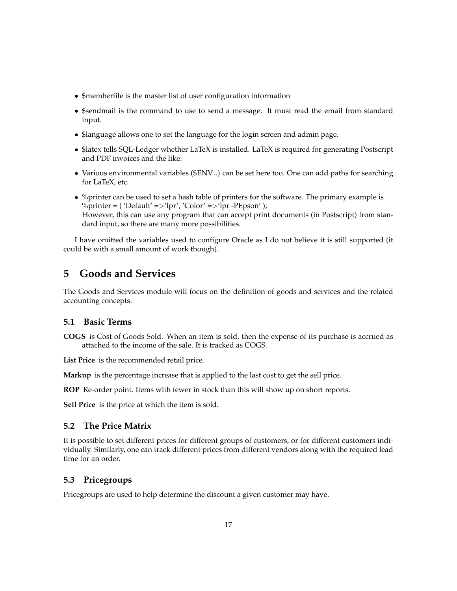- \$memberfile is the master list of user configuration information
- \$sendmail is the command to use to send a message. It must read the email from standard input.
- \$language allows one to set the language for the login screen and admin page.
- \$latex tells SQL-Ledger whether LaTeX is installed. LaTeX is required for generating Postscript and PDF invoices and the like.
- Various environmental variables (\$ENV...) can be set here too. One can add paths for searching for LaTeX, etc.
- %printer can be used to set a hash table of printers for the software. The primary example is %printer = ('Default' =>'lpr', 'Color' =>'lpr -PEpson' ); However, this can use any program that can accept print documents (in Postscript) from standard input, so there are many more possibilities.

I have omitted the variables used to configure Oracle as I do not believe it is still supported (it could be with a small amount of work though).

# <span id="page-16-0"></span>**5 Goods and Services**

The Goods and Services module will focus on the definition of goods and services and the related accounting concepts.

# <span id="page-16-1"></span>**5.1 Basic Terms**

**COGS** is Cost of Goods Sold. When an item is sold, then the expense of its purchase is accrued as attached to the income of the sale. It is tracked as COGS.

**List Price** is the recommended retail price.

**Markup** is the percentage increase that is applied to the last cost to get the sell price.

**ROP** Re-order point. Items with fewer in stock than this will show up on short reports.

**Sell Price** is the price at which the item is sold.

# <span id="page-16-2"></span>**5.2 The Price Matrix**

It is possible to set different prices for different groups of customers, or for different customers individually. Similarly, one can track different prices from different vendors along with the required lead time for an order.

### <span id="page-16-3"></span>**5.3 Pricegroups**

Pricegroups are used to help determine the discount a given customer may have.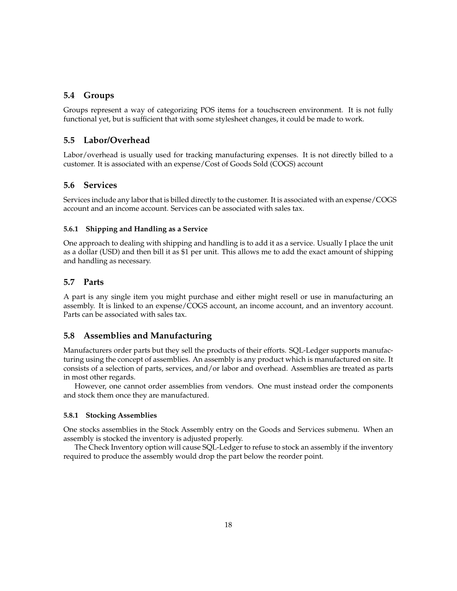## <span id="page-17-0"></span>**5.4 Groups**

Groups represent a way of categorizing POS items for a touchscreen environment. It is not fully functional yet, but is sufficient that with some stylesheet changes, it could be made to work.

# <span id="page-17-1"></span>**5.5 Labor/Overhead**

Labor/overhead is usually used for tracking manufacturing expenses. It is not directly billed to a customer. It is associated with an expense/Cost of Goods Sold (COGS) account

### <span id="page-17-2"></span>**5.6 Services**

Services include any labor that is billed directly to the customer. It is associated with an expense/COGS account and an income account. Services can be associated with sales tax.

### <span id="page-17-3"></span>**5.6.1 Shipping and Handling as a Service**

One approach to dealing with shipping and handling is to add it as a service. Usually I place the unit as a dollar (USD) and then bill it as \$1 per unit. This allows me to add the exact amount of shipping and handling as necessary.

### <span id="page-17-4"></span>**5.7 Parts**

A part is any single item you might purchase and either might resell or use in manufacturing an assembly. It is linked to an expense/COGS account, an income account, and an inventory account. Parts can be associated with sales tax.

### <span id="page-17-5"></span>**5.8 Assemblies and Manufacturing**

Manufacturers order parts but they sell the products of their efforts. SQL-Ledger supports manufacturing using the concept of assemblies. An assembly is any product which is manufactured on site. It consists of a selection of parts, services, and/or labor and overhead. Assemblies are treated as parts in most other regards.

However, one cannot order assemblies from vendors. One must instead order the components and stock them once they are manufactured.

#### <span id="page-17-6"></span>**5.8.1 Stocking Assemblies**

One stocks assemblies in the Stock Assembly entry on the Goods and Services submenu. When an assembly is stocked the inventory is adjusted properly.

The Check Inventory option will cause SQL-Ledger to refuse to stock an assembly if the inventory required to produce the assembly would drop the part below the reorder point.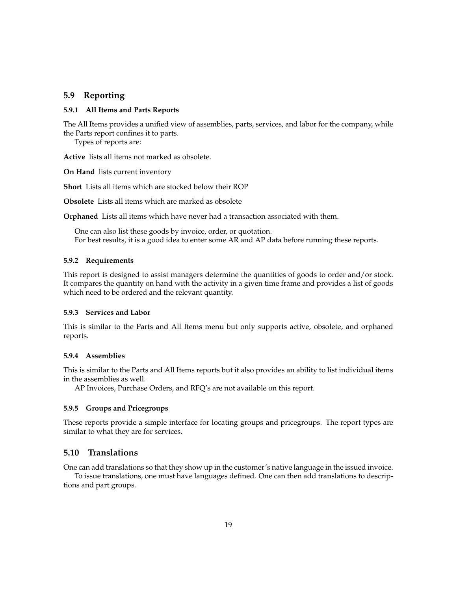### <span id="page-18-0"></span>**5.9 Reporting**

### <span id="page-18-1"></span>**5.9.1 All Items and Parts Reports**

The All Items provides a unified view of assemblies, parts, services, and labor for the company, while the Parts report confines it to parts.

Types of reports are:

**Active** lists all items not marked as obsolete.

**On Hand** lists current inventory

**Short** Lists all items which are stocked below their ROP

**Obsolete** Lists all items which are marked as obsolete

**Orphaned** Lists all items which have never had a transaction associated with them.

One can also list these goods by invoice, order, or quotation. For best results, it is a good idea to enter some AR and AP data before running these reports.

### <span id="page-18-2"></span>**5.9.2 Requirements**

This report is designed to assist managers determine the quantities of goods to order and/or stock. It compares the quantity on hand with the activity in a given time frame and provides a list of goods which need to be ordered and the relevant quantity.

### <span id="page-18-3"></span>**5.9.3 Services and Labor**

This is similar to the Parts and All Items menu but only supports active, obsolete, and orphaned reports.

#### <span id="page-18-4"></span>**5.9.4 Assemblies**

This is similar to the Parts and All Items reports but it also provides an ability to list individual items in the assemblies as well.

AP Invoices, Purchase Orders, and RFQ's are not available on this report.

#### <span id="page-18-5"></span>**5.9.5 Groups and Pricegroups**

These reports provide a simple interface for locating groups and pricegroups. The report types are similar to what they are for services.

### <span id="page-18-6"></span>**5.10 Translations**

One can add translations so that they show up in the customer's native language in the issued invoice.

To issue translations, one must have languages defined. One can then add translations to descriptions and part groups.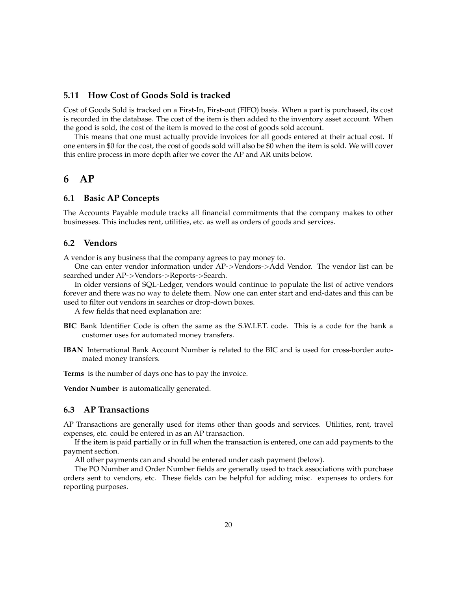### <span id="page-19-0"></span>**5.11 How Cost of Goods Sold is tracked**

Cost of Goods Sold is tracked on a First-In, First-out (FIFO) basis. When a part is purchased, its cost is recorded in the database. The cost of the item is then added to the inventory asset account. When the good is sold, the cost of the item is moved to the cost of goods sold account.

This means that one must actually provide invoices for all goods entered at their actual cost. If one enters in \$0 for the cost, the cost of goods sold will also be \$0 when the item is sold. We will cover this entire process in more depth after we cover the AP and AR units below.

# <span id="page-19-1"></span>**6 AP**

### <span id="page-19-2"></span>**6.1 Basic AP Concepts**

The Accounts Payable module tracks all financial commitments that the company makes to other businesses. This includes rent, utilities, etc. as well as orders of goods and services.

### <span id="page-19-3"></span>**6.2 Vendors**

A vendor is any business that the company agrees to pay money to.

One can enter vendor information under AP->Vendors->Add Vendor. The vendor list can be searched under AP->Vendors->Reports->Search.

In older versions of SQL-Ledger, vendors would continue to populate the list of active vendors forever and there was no way to delete them. Now one can enter start and end-dates and this can be used to filter out vendors in searches or drop-down boxes.

A few fields that need explanation are:

- **BIC** Bank Identifier Code is often the same as the S.W.I.F.T. code. This is a code for the bank a customer uses for automated money transfers.
- **IBAN** International Bank Account Number is related to the BIC and is used for cross-border automated money transfers.

**Terms** is the number of days one has to pay the invoice.

**Vendor Number** is automatically generated.

### <span id="page-19-4"></span>**6.3 AP Transactions**

AP Transactions are generally used for items other than goods and services. Utilities, rent, travel expenses, etc. could be entered in as an AP transaction.

If the item is paid partially or in full when the transaction is entered, one can add payments to the payment section.

All other payments can and should be entered under cash payment (below).

The PO Number and Order Number fields are generally used to track associations with purchase orders sent to vendors, etc. These fields can be helpful for adding misc. expenses to orders for reporting purposes.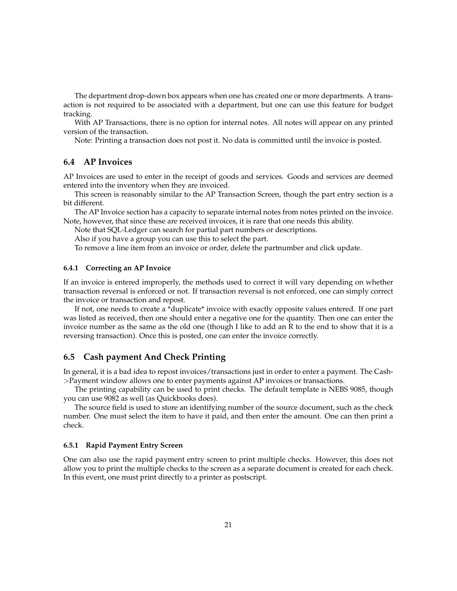The department drop-down box appears when one has created one or more departments. A transaction is not required to be associated with a department, but one can use this feature for budget tracking.

With AP Transactions, there is no option for internal notes. All notes will appear on any printed version of the transaction.

Note: Printing a transaction does not post it. No data is committed until the invoice is posted.

# <span id="page-20-0"></span>**6.4 AP Invoices**

AP Invoices are used to enter in the receipt of goods and services. Goods and services are deemed entered into the inventory when they are invoiced.

This screen is reasonably similar to the AP Transaction Screen, though the part entry section is a bit different.

The AP Invoice section has a capacity to separate internal notes from notes printed on the invoice. Note, however, that since these are received invoices, it is rare that one needs this ability.

Note that SQL-Ledger can search for partial part numbers or descriptions.

Also if you have a group you can use this to select the part.

To remove a line item from an invoice or order, delete the partnumber and click update.

### <span id="page-20-1"></span>**6.4.1 Correcting an AP Invoice**

If an invoice is entered improperly, the methods used to correct it will vary depending on whether transaction reversal is enforced or not. If transaction reversal is not enforced, one can simply correct the invoice or transaction and repost.

If not, one needs to create a \*duplicate\* invoice with exactly opposite values entered. If one part was listed as received, then one should enter a negative one for the quantity. Then one can enter the invoice number as the same as the old one (though I like to add an R to the end to show that it is a reversing transaction). Once this is posted, one can enter the invoice correctly.

### <span id="page-20-2"></span>**6.5 Cash payment And Check Printing**

In general, it is a bad idea to repost invoices/transactions just in order to enter a payment. The Cash- >Payment window allows one to enter payments against AP invoices or transactions.

The printing capability can be used to print checks. The default template is NEBS 9085, though you can use 9082 as well (as Quickbooks does).

The source field is used to store an identifying number of the source document, such as the check number. One must select the item to have it paid, and then enter the amount. One can then print a check.

#### <span id="page-20-3"></span>**6.5.1 Rapid Payment Entry Screen**

One can also use the rapid payment entry screen to print multiple checks. However, this does not allow you to print the multiple checks to the screen as a separate document is created for each check. In this event, one must print directly to a printer as postscript.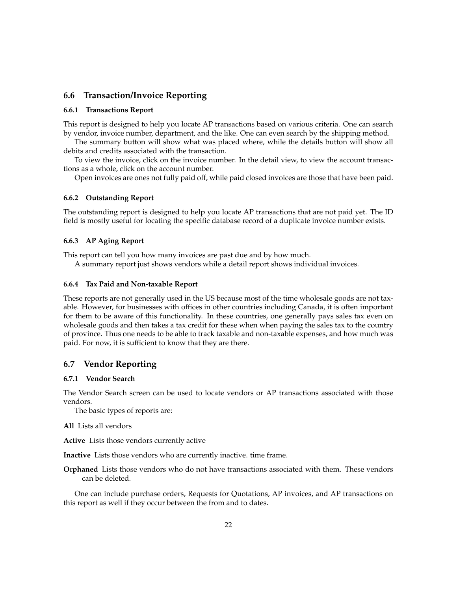### <span id="page-21-0"></span>**6.6 Transaction/Invoice Reporting**

### <span id="page-21-1"></span>**6.6.1 Transactions Report**

This report is designed to help you locate AP transactions based on various criteria. One can search by vendor, invoice number, department, and the like. One can even search by the shipping method.

The summary button will show what was placed where, while the details button will show all debits and credits associated with the transaction.

To view the invoice, click on the invoice number. In the detail view, to view the account transactions as a whole, click on the account number.

Open invoices are ones not fully paid off, while paid closed invoices are those that have been paid.

#### <span id="page-21-2"></span>**6.6.2 Outstanding Report**

The outstanding report is designed to help you locate AP transactions that are not paid yet. The ID field is mostly useful for locating the specific database record of a duplicate invoice number exists.

### <span id="page-21-3"></span>**6.6.3 AP Aging Report**

This report can tell you how many invoices are past due and by how much.

A summary report just shows vendors while a detail report shows individual invoices.

#### <span id="page-21-4"></span>**6.6.4 Tax Paid and Non-taxable Report**

These reports are not generally used in the US because most of the time wholesale goods are not taxable. However, for businesses with offices in other countries including Canada, it is often important for them to be aware of this functionality. In these countries, one generally pays sales tax even on wholesale goods and then takes a tax credit for these when when paying the sales tax to the country of province. Thus one needs to be able to track taxable and non-taxable expenses, and how much was paid. For now, it is sufficient to know that they are there.

## <span id="page-21-5"></span>**6.7 Vendor Reporting**

### <span id="page-21-6"></span>**6.7.1 Vendor Search**

The Vendor Search screen can be used to locate vendors or AP transactions associated with those vendors.

The basic types of reports are:

### **All** Lists all vendors

**Active** Lists those vendors currently active

**Inactive** Lists those vendors who are currently inactive. time frame.

**Orphaned** Lists those vendors who do not have transactions associated with them. These vendors can be deleted.

One can include purchase orders, Requests for Quotations, AP invoices, and AP transactions on this report as well if they occur between the from and to dates.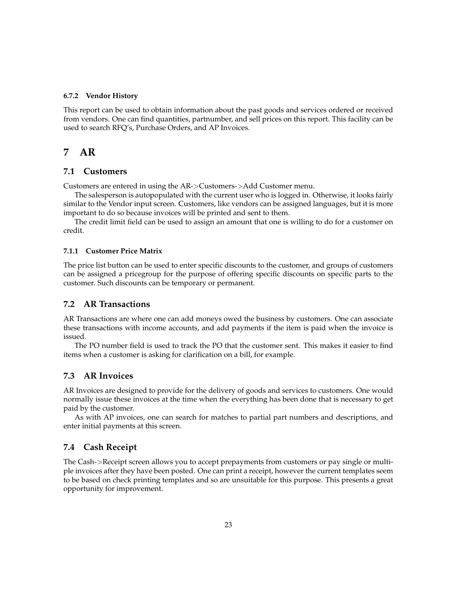#### <span id="page-22-0"></span>**6.7.2 Vendor History**

This report can be used to obtain information about the past goods and services ordered or received from vendors. One can find quantities, partnumber, and sell prices on this report. This facility can be used to search RFQ's, Purchase Orders, and AP Invoices.

# <span id="page-22-1"></span>**7 AR**

### <span id="page-22-2"></span>**7.1 Customers**

Customers are entered in using the AR->Customers->Add Customer menu.

The salesperson is autopopulated with the current user who is logged in. Otherwise, it looks fairly similar to the Vendor input screen. Customers, like vendors can be assigned languages, but it is more important to do so because invoices will be printed and sent to them.

The credit limit field can be used to assign an amount that one is willing to do for a customer on credit.

### <span id="page-22-3"></span>**7.1.1 Customer Price Matrix**

The price list button can be used to enter specific discounts to the customer, and groups of customers can be assigned a pricegroup for the purpose of offering specific discounts on specific parts to the customer. Such discounts can be temporary or permanent.

### <span id="page-22-4"></span>**7.2 AR Transactions**

AR Transactions are where one can add moneys owed the business by customers. One can associate these transactions with income accounts, and add payments if the item is paid when the invoice is issued.

The PO number field is used to track the PO that the customer sent. This makes it easier to find items when a customer is asking for clarification on a bill, for example.

### <span id="page-22-5"></span>**7.3 AR Invoices**

AR Invoices are designed to provide for the delivery of goods and services to customers. One would normally issue these invoices at the time when the everything has been done that is necessary to get paid by the customer.

As with AP invoices, one can search for matches to partial part numbers and descriptions, and enter initial payments at this screen.

### <span id="page-22-6"></span>**7.4 Cash Receipt**

The Cash->Receipt screen allows you to accept prepayments from customers or pay single or multiple invoices after they have been posted. One can print a receipt, however the current templates seem to be based on check printing templates and so are unsuitable for this purpose. This presents a great opportunity for improvement.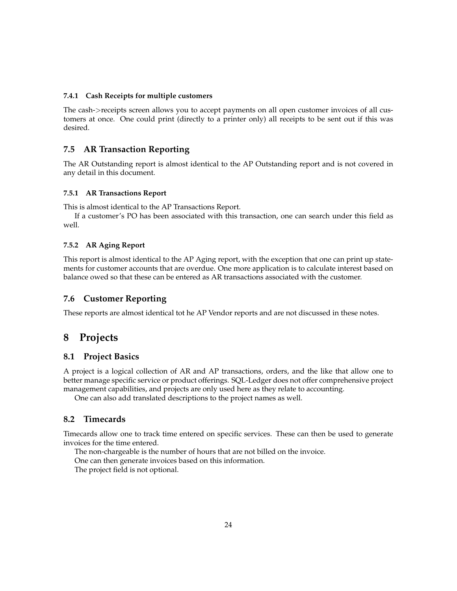### <span id="page-23-0"></span>**7.4.1 Cash Receipts for multiple customers**

The cash->receipts screen allows you to accept payments on all open customer invoices of all customers at once. One could print (directly to a printer only) all receipts to be sent out if this was desired.

### <span id="page-23-1"></span>**7.5 AR Transaction Reporting**

The AR Outstanding report is almost identical to the AP Outstanding report and is not covered in any detail in this document.

### <span id="page-23-2"></span>**7.5.1 AR Transactions Report**

This is almost identical to the AP Transactions Report.

If a customer's PO has been associated with this transaction, one can search under this field as well.

### <span id="page-23-3"></span>**7.5.2 AR Aging Report**

This report is almost identical to the AP Aging report, with the exception that one can print up statements for customer accounts that are overdue. One more application is to calculate interest based on balance owed so that these can be entered as AR transactions associated with the customer.

## <span id="page-23-4"></span>**7.6 Customer Reporting**

These reports are almost identical tot he AP Vendor reports and are not discussed in these notes.

# <span id="page-23-5"></span>**8 Projects**

### <span id="page-23-6"></span>**8.1 Project Basics**

A project is a logical collection of AR and AP transactions, orders, and the like that allow one to better manage specific service or product offerings. SQL-Ledger does not offer comprehensive project management capabilities, and projects are only used here as they relate to accounting.

One can also add translated descriptions to the project names as well.

## <span id="page-23-7"></span>**8.2 Timecards**

Timecards allow one to track time entered on specific services. These can then be used to generate invoices for the time entered.

The non-chargeable is the number of hours that are not billed on the invoice. One can then generate invoices based on this information. The project field is not optional.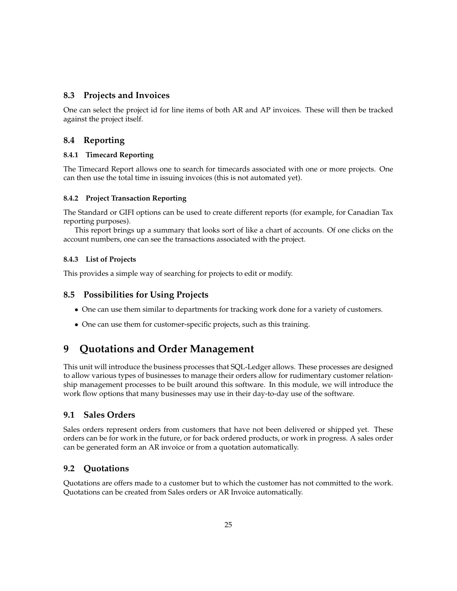### <span id="page-24-0"></span>**8.3 Projects and Invoices**

One can select the project id for line items of both AR and AP invoices. These will then be tracked against the project itself.

# <span id="page-24-1"></span>**8.4 Reporting**

### <span id="page-24-2"></span>**8.4.1 Timecard Reporting**

The Timecard Report allows one to search for timecards associated with one or more projects. One can then use the total time in issuing invoices (this is not automated yet).

### <span id="page-24-3"></span>**8.4.2 Project Transaction Reporting**

The Standard or GIFI options can be used to create different reports (for example, for Canadian Tax reporting purposes).

This report brings up a summary that looks sort of like a chart of accounts. Of one clicks on the account numbers, one can see the transactions associated with the project.

### <span id="page-24-4"></span>**8.4.3 List of Projects**

This provides a simple way of searching for projects to edit or modify.

# <span id="page-24-5"></span>**8.5 Possibilities for Using Projects**

- One can use them similar to departments for tracking work done for a variety of customers.
- One can use them for customer-specific projects, such as this training.

# <span id="page-24-6"></span>**9 Quotations and Order Management**

This unit will introduce the business processes that SQL-Ledger allows. These processes are designed to allow various types of businesses to manage their orders allow for rudimentary customer relationship management processes to be built around this software. In this module, we will introduce the work flow options that many businesses may use in their day-to-day use of the software.

# <span id="page-24-7"></span>**9.1 Sales Orders**

Sales orders represent orders from customers that have not been delivered or shipped yet. These orders can be for work in the future, or for back ordered products, or work in progress. A sales order can be generated form an AR invoice or from a quotation automatically.

# <span id="page-24-8"></span>**9.2 Quotations**

Quotations are offers made to a customer but to which the customer has not committed to the work. Quotations can be created from Sales orders or AR Invoice automatically.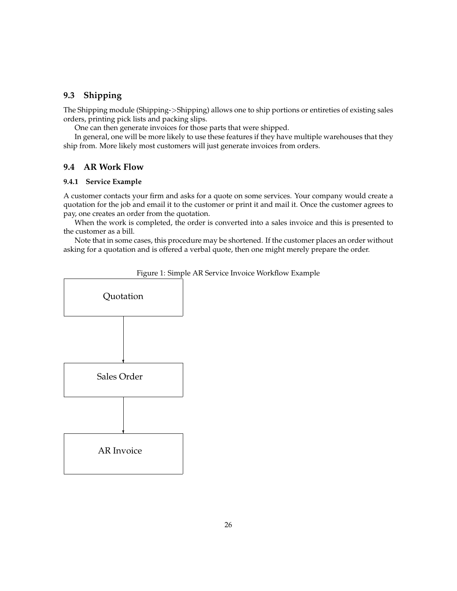# <span id="page-25-0"></span>**9.3 Shipping**

The Shipping module (Shipping->Shipping) allows one to ship portions or entireties of existing sales orders, printing pick lists and packing slips.

One can then generate invoices for those parts that were shipped.

In general, one will be more likely to use these features if they have multiple warehouses that they ship from. More likely most customers will just generate invoices from orders.

### <span id="page-25-1"></span>**9.4 AR Work Flow**

### <span id="page-25-2"></span>**9.4.1 Service Example**

A customer contacts your firm and asks for a quote on some services. Your company would create a quotation for the job and email it to the customer or print it and mail it. Once the customer agrees to pay, one creates an order from the quotation.

When the work is completed, the order is converted into a sales invoice and this is presented to the customer as a bill.

Note that in some cases, this procedure may be shortened. If the customer places an order without asking for a quotation and is offered a verbal quote, then one might merely prepare the order.



<span id="page-25-3"></span>Figure 1: Simple AR Service Invoice Workflow Example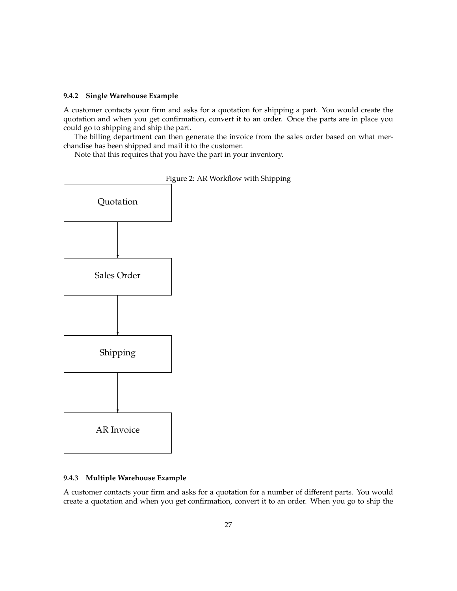### <span id="page-26-0"></span>**9.4.2 Single Warehouse Example**

A customer contacts your firm and asks for a quotation for shipping a part. You would create the quotation and when you get confirmation, convert it to an order. Once the parts are in place you could go to shipping and ship the part.

The billing department can then generate the invoice from the sales order based on what merchandise has been shipped and mail it to the customer.

Note that this requires that you have the part in your inventory.



<span id="page-26-2"></span>

|  | Figure 2: AR Workflow with Shipping |  |  |
|--|-------------------------------------|--|--|
|  |                                     |  |  |

### <span id="page-26-1"></span>**9.4.3 Multiple Warehouse Example**

A customer contacts your firm and asks for a quotation for a number of different parts. You would create a quotation and when you get confirmation, convert it to an order. When you go to ship the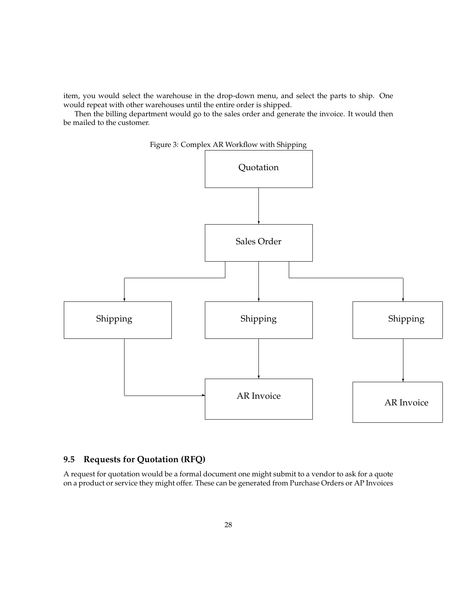item, you would select the warehouse in the drop-down menu, and select the parts to ship. One would repeat with other warehouses until the entire order is shipped.

Then the billing department would go to the sales order and generate the invoice. It would then be mailed to the customer.



### <span id="page-27-1"></span>Figure 3: Complex AR Workflow with Shipping

# <span id="page-27-0"></span>**9.5 Requests for Quotation (RFQ)**

A request for quotation would be a formal document one might submit to a vendor to ask for a quote on a product or service they might offer. These can be generated from Purchase Orders or AP Invoices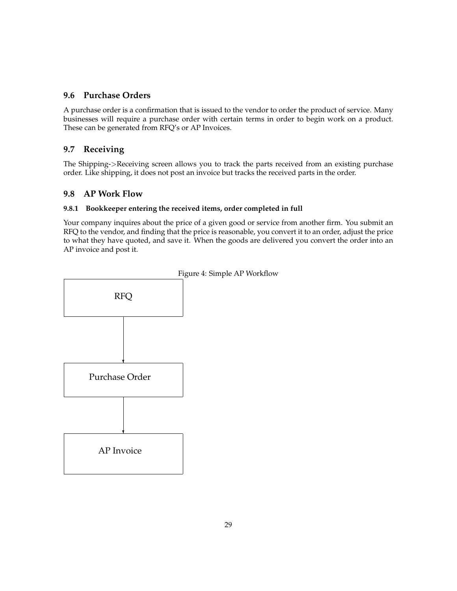# <span id="page-28-0"></span>**9.6 Purchase Orders**

A purchase order is a confirmation that is issued to the vendor to order the product of service. Many businesses will require a purchase order with certain terms in order to begin work on a product. These can be generated from RFQ's or AP Invoices.

# <span id="page-28-1"></span>**9.7 Receiving**

The Shipping->Receiving screen allows you to track the parts received from an existing purchase order. Like shipping, it does not post an invoice but tracks the received parts in the order.

# <span id="page-28-2"></span>**9.8 AP Work Flow**

## <span id="page-28-3"></span>**9.8.1 Bookkeeper entering the received items, order completed in full**

<span id="page-28-4"></span>Your company inquires about the price of a given good or service from another firm. You submit an RFQ to the vendor, and finding that the price is reasonable, you convert it to an order, adjust the price to what they have quoted, and save it. When the goods are delivered you convert the order into an AP invoice and post it.

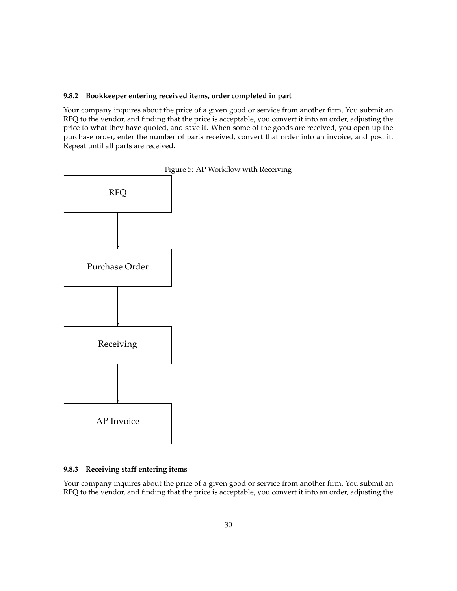### <span id="page-29-0"></span>**9.8.2 Bookkeeper entering received items, order completed in part**

Your company inquires about the price of a given good or service from another firm, You submit an RFQ to the vendor, and finding that the price is acceptable, you convert it into an order, adjusting the price to what they have quoted, and save it. When some of the goods are received, you open up the purchase order, enter the number of parts received, convert that order into an invoice, and post it. Repeat until all parts are received.



### <span id="page-29-2"></span>Figure 5: AP Workflow with Receiving

### <span id="page-29-1"></span>**9.8.3 Receiving staff entering items**

Your company inquires about the price of a given good or service from another firm, You submit an RFQ to the vendor, and finding that the price is acceptable, you convert it into an order, adjusting the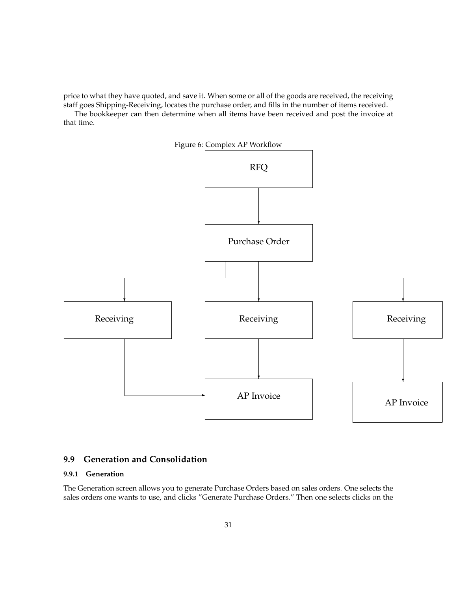price to what they have quoted, and save it. When some or all of the goods are received, the receiving staff goes Shipping-Receiving, locates the purchase order, and fills in the number of items received.

<span id="page-30-2"></span>The bookkeeper can then determine when all items have been received and post the invoice at that time.



# <span id="page-30-0"></span>**9.9 Generation and Consolidation**

### <span id="page-30-1"></span>**9.9.1 Generation**

The Generation screen allows you to generate Purchase Orders based on sales orders. One selects the sales orders one wants to use, and clicks "Generate Purchase Orders." Then one selects clicks on the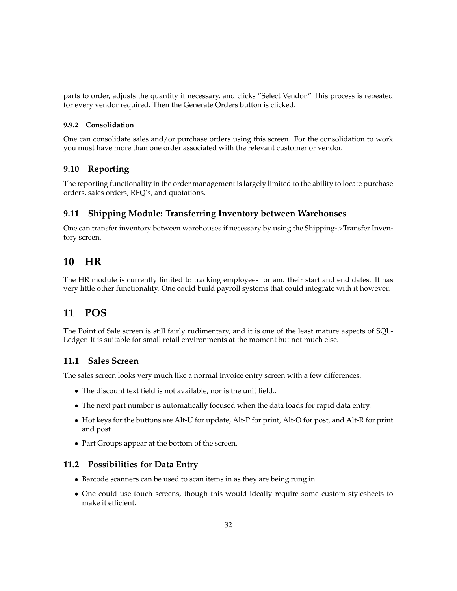parts to order, adjusts the quantity if necessary, and clicks "Select Vendor." This process is repeated for every vendor required. Then the Generate Orders button is clicked.

### <span id="page-31-0"></span>**9.9.2 Consolidation**

One can consolidate sales and/or purchase orders using this screen. For the consolidation to work you must have more than one order associated with the relevant customer or vendor.

# <span id="page-31-1"></span>**9.10 Reporting**

The reporting functionality in the order management is largely limited to the ability to locate purchase orders, sales orders, RFQ's, and quotations.

# <span id="page-31-2"></span>**9.11 Shipping Module: Transferring Inventory between Warehouses**

One can transfer inventory between warehouses if necessary by using the Shipping->Transfer Inventory screen.

# <span id="page-31-3"></span>**10 HR**

The HR module is currently limited to tracking employees for and their start and end dates. It has very little other functionality. One could build payroll systems that could integrate with it however.

# <span id="page-31-4"></span>**11 POS**

The Point of Sale screen is still fairly rudimentary, and it is one of the least mature aspects of SQL-Ledger. It is suitable for small retail environments at the moment but not much else.

# <span id="page-31-5"></span>**11.1 Sales Screen**

The sales screen looks very much like a normal invoice entry screen with a few differences.

- The discount text field is not available, nor is the unit field..
- The next part number is automatically focused when the data loads for rapid data entry.
- Hot keys for the buttons are Alt-U for update, Alt-P for print, Alt-O for post, and Alt-R for print and post.
- Part Groups appear at the bottom of the screen.

### <span id="page-31-6"></span>**11.2 Possibilities for Data Entry**

- Barcode scanners can be used to scan items in as they are being rung in.
- One could use touch screens, though this would ideally require some custom stylesheets to make it efficient.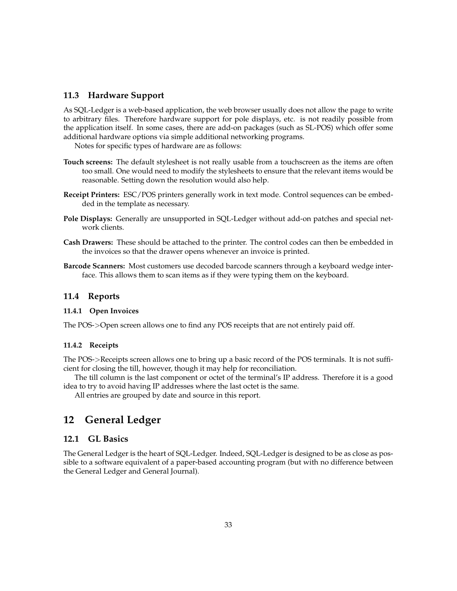### <span id="page-32-0"></span>**11.3 Hardware Support**

As SQL-Ledger is a web-based application, the web browser usually does not allow the page to write to arbitrary files. Therefore hardware support for pole displays, etc. is not readily possible from the application itself. In some cases, there are add-on packages (such as SL-POS) which offer some additional hardware options via simple additional networking programs.

Notes for specific types of hardware are as follows:

- **Touch screens:** The default stylesheet is not really usable from a touchscreen as the items are often too small. One would need to modify the stylesheets to ensure that the relevant items would be reasonable. Setting down the resolution would also help.
- **Receipt Printers:** ESC/POS printers generally work in text mode. Control sequences can be embedded in the template as necessary.
- **Pole Displays:** Generally are unsupported in SQL-Ledger without add-on patches and special network clients.
- **Cash Drawers:** These should be attached to the printer. The control codes can then be embedded in the invoices so that the drawer opens whenever an invoice is printed.
- **Barcode Scanners:** Most customers use decoded barcode scanners through a keyboard wedge interface. This allows them to scan items as if they were typing them on the keyboard.

### <span id="page-32-1"></span>**11.4 Reports**

### <span id="page-32-2"></span>**11.4.1 Open Invoices**

The POS->Open screen allows one to find any POS receipts that are not entirely paid off.

#### <span id="page-32-3"></span>**11.4.2 Receipts**

The POS->Receipts screen allows one to bring up a basic record of the POS terminals. It is not sufficient for closing the till, however, though it may help for reconciliation.

The till column is the last component or octet of the terminal's IP address. Therefore it is a good idea to try to avoid having IP addresses where the last octet is the same.

All entries are grouped by date and source in this report.

# <span id="page-32-4"></span>**12 General Ledger**

# <span id="page-32-5"></span>**12.1 GL Basics**

The General Ledger is the heart of SQL-Ledger. Indeed, SQL-Ledger is designed to be as close as possible to a software equivalent of a paper-based accounting program (but with no difference between the General Ledger and General Journal).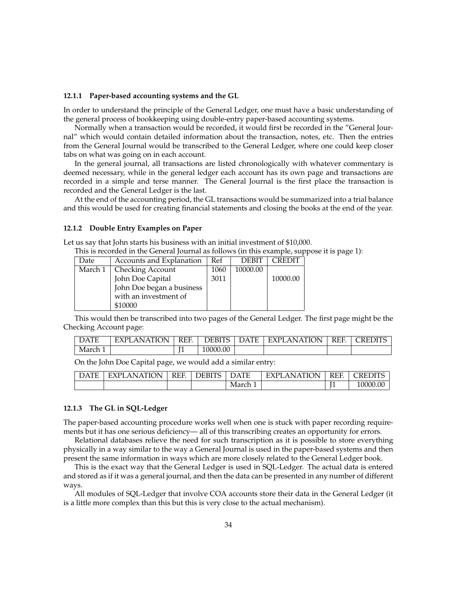#### <span id="page-33-0"></span>**12.1.1 Paper-based accounting systems and the GL**

In order to understand the principle of the General Ledger, one must have a basic understanding of the general process of bookkeeping using double-entry paper-based accounting systems.

Normally when a transaction would be recorded, it would first be recorded in the "General Journal" which would contain detailed information about the transaction, notes, etc. Then the entries from the General Journal would be transcribed to the General Ledger, where one could keep closer tabs on what was going on in each account.

In the general journal, all transactions are listed chronologically with whatever commentary is deemed necessary, while in the general ledger each account has its own page and transactions are recorded in a simple and terse manner. The General Journal is the first place the transaction is recorded and the General Ledger is the last.

At the end of the accounting period, the GL transactions would be summarized into a trial balance and this would be used for creating financial statements and closing the books at the end of the year.

#### <span id="page-33-1"></span>**12.1.2 Double Entry Examples on Paper**

Let us say that John starts his business with an initial investment of \$10,000.

This is recorded in the General Journal as follows (in this example, suppose it is page 1):

| Date    | Accounts and Explanation  | Ref  | <b>DEBIT</b> | ∩REDI    |
|---------|---------------------------|------|--------------|----------|
| March 1 | <b>Checking Account</b>   | 1060 | 10000.00     |          |
|         | John Doe Capital          | 3011 |              | 10000.00 |
|         | John Doe began a business |      |              |          |
|         | with an investment of     |      |              |          |
|         | \$10000                   |      |              |          |

This would then be transcribed into two pages of the General Ledger. The first page might be the Checking Account page:

| <b>DATE</b> | <b>TION</b><br>AN ATIC<br>- EXPL | <b>REF</b> | <b>DEBITS</b> | DATE | EXPLANATION | <b>REF</b> | <b>REDITS</b> |
|-------------|----------------------------------|------------|---------------|------|-------------|------------|---------------|
| March 1     |                                  |            | 10000.00      |      |             |            |               |

On the John Doe Capital page, we would add a similar entry:

| $\Gamma$ $\Lambda$ $\Gamma$ $\Gamma$<br>JД<br>. н | 'LANATION<br><b>EXPL</b> | REF. | <b>DEBITS</b> | $\mathcal{Y}$ ATF | <b>ATION</b><br><b>AN</b><br><b>EXPI</b> | <b>REF</b> | CREDITS  |
|---------------------------------------------------|--------------------------|------|---------------|-------------------|------------------------------------------|------------|----------|
|                                                   |                          |      |               | March 1           |                                          | ти<br>-    | 10000.00 |

#### <span id="page-33-2"></span>**12.1.3 The GL in SQL-Ledger**

The paper-based accounting procedure works well when one is stuck with paper recording requirements but it has one serious deficiency— all of this transcribing creates an opportunity for errors.

Relational databases relieve the need for such transcription as it is possible to store everything physically in a way similar to the way a General Journal is used in the paper-based systems and then present the same information in ways which are more closely related to the General Ledger book.

This is the exact way that the General Ledger is used in SQL-Ledger. The actual data is entered and stored as if it was a general journal, and then the data can be presented in any number of different ways.

All modules of SQL-Ledger that involve COA accounts store their data in the General Ledger (it is a little more complex than this but this is very close to the actual mechanism).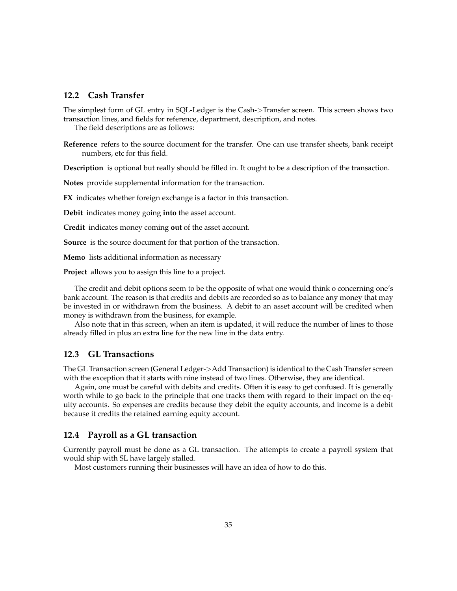### <span id="page-34-0"></span>**12.2 Cash Transfer**

The simplest form of GL entry in SQL-Ledger is the Cash->Transfer screen. This screen shows two transaction lines, and fields for reference, department, description, and notes.

The field descriptions are as follows:

**Reference** refers to the source document for the transfer. One can use transfer sheets, bank receipt numbers, etc for this field.

**Description** is optional but really should be filled in. It ought to be a description of the transaction.

**Notes** provide supplemental information for the transaction.

**FX** indicates whether foreign exchange is a factor in this transaction.

**Debit** indicates money going **into** the asset account.

**Credit** indicates money coming **out** of the asset account.

**Source** is the source document for that portion of the transaction.

**Memo** lists additional information as necessary

**Project** allows you to assign this line to a project.

The credit and debit options seem to be the opposite of what one would think o concerning one's bank account. The reason is that credits and debits are recorded so as to balance any money that may be invested in or withdrawn from the business. A debit to an asset account will be credited when money is withdrawn from the business, for example.

Also note that in this screen, when an item is updated, it will reduce the number of lines to those already filled in plus an extra line for the new line in the data entry.

## <span id="page-34-1"></span>**12.3 GL Transactions**

The GL Transaction screen (General Ledger->Add Transaction) is identical to the Cash Transfer screen with the exception that it starts with nine instead of two lines. Otherwise, they are identical.

Again, one must be careful with debits and credits. Often it is easy to get confused. It is generally worth while to go back to the principle that one tracks them with regard to their impact on the equity accounts. So expenses are credits because they debit the equity accounts, and income is a debit because it credits the retained earning equity account.

### <span id="page-34-2"></span>**12.4 Payroll as a GL transaction**

Currently payroll must be done as a GL transaction. The attempts to create a payroll system that would ship with SL have largely stalled.

Most customers running their businesses will have an idea of how to do this.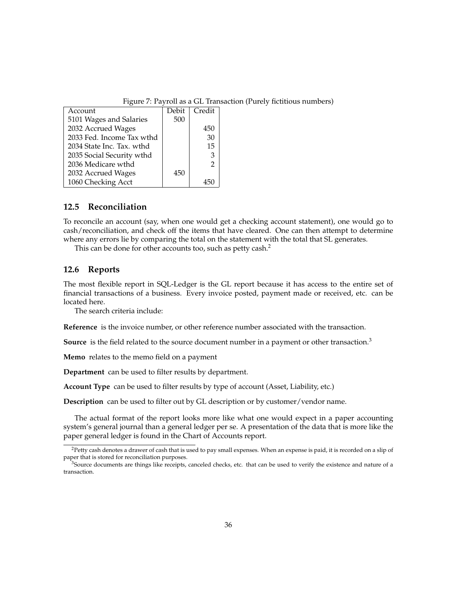<span id="page-35-2"></span>Figure 7: Payroll as a GL Transaction (Purely fictitious numbers)

| Account                   | Debit | Credit |
|---------------------------|-------|--------|
| 5101 Wages and Salaries   | 500   |        |
| 2032 Accrued Wages        |       | 450    |
| 2033 Fed. Income Tax wthd |       | 30     |
| 2034 State Inc. Tax. wthd |       | 15     |
| 2035 Social Security wthd |       | 3      |
| 2036 Medicare wthd        |       | 2      |
| 2032 Accrued Wages        | 450   |        |
| 1060 Checking Acct        |       |        |

### <span id="page-35-0"></span>**12.5 Reconciliation**

To reconcile an account (say, when one would get a checking account statement), one would go to cash/reconciliation, and check off the items that have cleared. One can then attempt to determine where any errors lie by comparing the total on the statement with the total that SL generates.

This can be done for other accounts too, such as petty cash.<sup>[2](#page-35-3)</sup>

### <span id="page-35-1"></span>**12.6 Reports**

The most flexible report in SQL-Ledger is the GL report because it has access to the entire set of financial transactions of a business. Every invoice posted, payment made or received, etc. can be located here.

The search criteria include:

**Reference** is the invoice number, or other reference number associated with the transaction.

**Source** is the field related to the source document number in a payment or other transaction.<sup>[3](#page-35-4)</sup>

**Memo** relates to the memo field on a payment

**Department** can be used to filter results by department.

**Account Type** can be used to filter results by type of account (Asset, Liability, etc.)

**Description** can be used to filter out by GL description or by customer/vendor name.

The actual format of the report looks more like what one would expect in a paper accounting system's general journal than a general ledger per se. A presentation of the data that is more like the paper general ledger is found in the Chart of Accounts report.

<span id="page-35-3"></span><sup>&</sup>lt;sup>2</sup>Petty cash denotes a drawer of cash that is used to pay small expenses. When an expense is paid, it is recorded on a slip of paper that is stored for reconciliation purposes.

<span id="page-35-4"></span><sup>&</sup>lt;sup>3</sup>Source documents are things like receipts, canceled checks, etc. that can be used to verify the existence and nature of a transaction.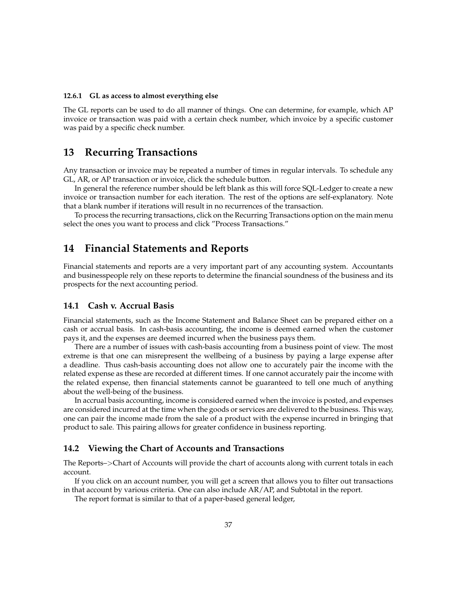#### <span id="page-36-0"></span>**12.6.1 GL as access to almost everything else**

The GL reports can be used to do all manner of things. One can determine, for example, which AP invoice or transaction was paid with a certain check number, which invoice by a specific customer was paid by a specific check number.

# <span id="page-36-1"></span>**13 Recurring Transactions**

Any transaction or invoice may be repeated a number of times in regular intervals. To schedule any GL, AR, or AP transaction or invoice, click the schedule button.

In general the reference number should be left blank as this will force SQL-Ledger to create a new invoice or transaction number for each iteration. The rest of the options are self-explanatory. Note that a blank number if iterations will result in no recurrences of the transaction.

To process the recurring transactions, click on the Recurring Transactions option on the main menu select the ones you want to process and click "Process Transactions."

# <span id="page-36-2"></span>**14 Financial Statements and Reports**

Financial statements and reports are a very important part of any accounting system. Accountants and businesspeople rely on these reports to determine the financial soundness of the business and its prospects for the next accounting period.

### <span id="page-36-3"></span>**14.1 Cash v. Accrual Basis**

Financial statements, such as the Income Statement and Balance Sheet can be prepared either on a cash or accrual basis. In cash-basis accounting, the income is deemed earned when the customer pays it, and the expenses are deemed incurred when the business pays them.

There are a number of issues with cash-basis accounting from a business point of view. The most extreme is that one can misrepresent the wellbeing of a business by paying a large expense after a deadline. Thus cash-basis accounting does not allow one to accurately pair the income with the related expense as these are recorded at different times. If one cannot accurately pair the income with the related expense, then financial statements cannot be guaranteed to tell one much of anything about the well-being of the business.

In accrual basis accounting, income is considered earned when the invoice is posted, and expenses are considered incurred at the time when the goods or services are delivered to the business. This way, one can pair the income made from the sale of a product with the expense incurred in bringing that product to sale. This pairing allows for greater confidence in business reporting.

### <span id="page-36-4"></span>**14.2 Viewing the Chart of Accounts and Transactions**

The Reports–>Chart of Accounts will provide the chart of accounts along with current totals in each account.

If you click on an account number, you will get a screen that allows you to filter out transactions in that account by various criteria. One can also include AR/AP, and Subtotal in the report.

The report format is similar to that of a paper-based general ledger,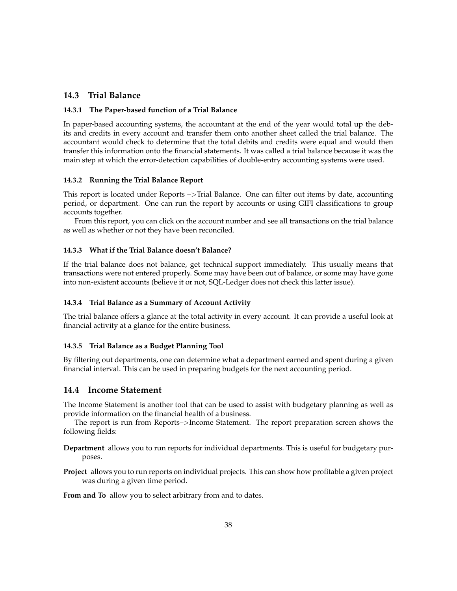## <span id="page-37-0"></span>**14.3 Trial Balance**

### <span id="page-37-1"></span>**14.3.1 The Paper-based function of a Trial Balance**

In paper-based accounting systems, the accountant at the end of the year would total up the debits and credits in every account and transfer them onto another sheet called the trial balance. The accountant would check to determine that the total debits and credits were equal and would then transfer this information onto the financial statements. It was called a trial balance because it was the main step at which the error-detection capabilities of double-entry accounting systems were used.

#### <span id="page-37-2"></span>**14.3.2 Running the Trial Balance Report**

This report is located under Reports –>Trial Balance. One can filter out items by date, accounting period, or department. One can run the report by accounts or using GIFI classifications to group accounts together.

From this report, you can click on the account number and see all transactions on the trial balance as well as whether or not they have been reconciled.

### <span id="page-37-3"></span>**14.3.3 What if the Trial Balance doesn't Balance?**

If the trial balance does not balance, get technical support immediately. This usually means that transactions were not entered properly. Some may have been out of balance, or some may have gone into non-existent accounts (believe it or not, SQL-Ledger does not check this latter issue).

### <span id="page-37-4"></span>**14.3.4 Trial Balance as a Summary of Account Activity**

The trial balance offers a glance at the total activity in every account. It can provide a useful look at financial activity at a glance for the entire business.

#### <span id="page-37-5"></span>**14.3.5 Trial Balance as a Budget Planning Tool**

By filtering out departments, one can determine what a department earned and spent during a given financial interval. This can be used in preparing budgets for the next accounting period.

### <span id="page-37-6"></span>**14.4 Income Statement**

The Income Statement is another tool that can be used to assist with budgetary planning as well as provide information on the financial health of a business.

The report is run from Reports–>Income Statement. The report preparation screen shows the following fields:

- **Department** allows you to run reports for individual departments. This is useful for budgetary purposes.
- **Project** allows you to run reports on individual projects. This can show how profitable a given project was during a given time period.

**From and To** allow you to select arbitrary from and to dates.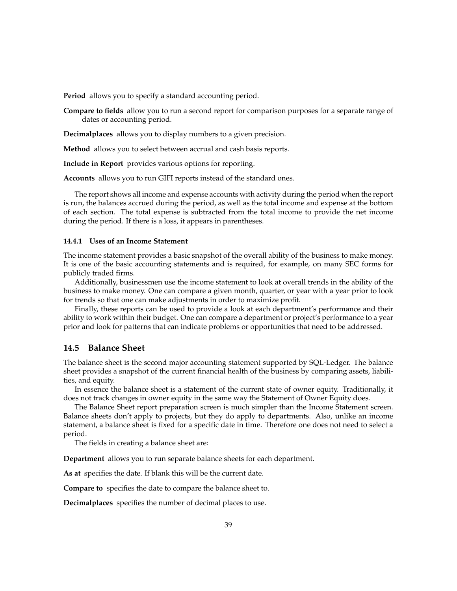**Period** allows you to specify a standard accounting period.

**Compare to fields** allow you to run a second report for comparison purposes for a separate range of dates or accounting period.

**Decimalplaces** allows you to display numbers to a given precision.

**Method** allows you to select between accrual and cash basis reports.

**Include in Report** provides various options for reporting.

**Accounts** allows you to run GIFI reports instead of the standard ones.

The report shows all income and expense accounts with activity during the period when the report is run, the balances accrued during the period, as well as the total income and expense at the bottom of each section. The total expense is subtracted from the total income to provide the net income during the period. If there is a loss, it appears in parentheses.

#### <span id="page-38-0"></span>**14.4.1 Uses of an Income Statement**

The income statement provides a basic snapshot of the overall ability of the business to make money. It is one of the basic accounting statements and is required, for example, on many SEC forms for publicly traded firms.

Additionally, businessmen use the income statement to look at overall trends in the ability of the business to make money. One can compare a given month, quarter, or year with a year prior to look for trends so that one can make adjustments in order to maximize profit.

Finally, these reports can be used to provide a look at each department's performance and their ability to work within their budget. One can compare a department or project's performance to a year prior and look for patterns that can indicate problems or opportunities that need to be addressed.

### <span id="page-38-1"></span>**14.5 Balance Sheet**

The balance sheet is the second major accounting statement supported by SQL-Ledger. The balance sheet provides a snapshot of the current financial health of the business by comparing assets, liabilities, and equity.

In essence the balance sheet is a statement of the current state of owner equity. Traditionally, it does not track changes in owner equity in the same way the Statement of Owner Equity does.

The Balance Sheet report preparation screen is much simpler than the Income Statement screen. Balance sheets don't apply to projects, but they do apply to departments. Also, unlike an income statement, a balance sheet is fixed for a specific date in time. Therefore one does not need to select a period.

The fields in creating a balance sheet are:

**Department** allows you to run separate balance sheets for each department.

**As at** specifies the date. If blank this will be the current date.

**Compare to** specifies the date to compare the balance sheet to.

**Decimalplaces** specifies the number of decimal places to use.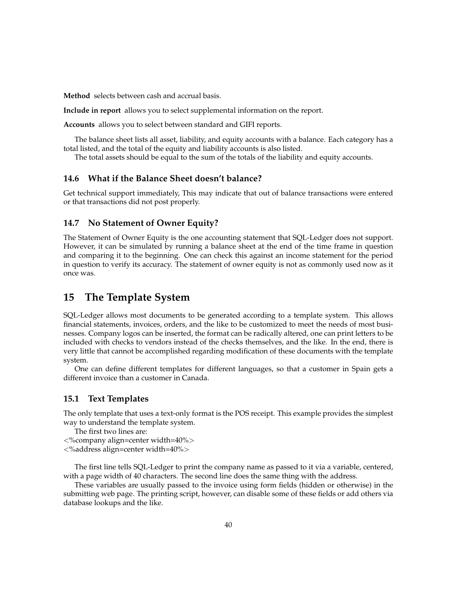**Method** selects between cash and accrual basis.

**Include in report** allows you to select supplemental information on the report.

**Accounts** allows you to select between standard and GIFI reports.

The balance sheet lists all asset, liability, and equity accounts with a balance. Each category has a total listed, and the total of the equity and liability accounts is also listed.

The total assets should be equal to the sum of the totals of the liability and equity accounts.

## <span id="page-39-0"></span>**14.6 What if the Balance Sheet doesn't balance?**

Get technical support immediately, This may indicate that out of balance transactions were entered or that transactions did not post properly.

# <span id="page-39-1"></span>**14.7 No Statement of Owner Equity?**

The Statement of Owner Equity is the one accounting statement that SQL-Ledger does not support. However, it can be simulated by running a balance sheet at the end of the time frame in question and comparing it to the beginning. One can check this against an income statement for the period in question to verify its accuracy. The statement of owner equity is not as commonly used now as it once was.

# <span id="page-39-2"></span>**15 The Template System**

SQL-Ledger allows most documents to be generated according to a template system. This allows financial statements, invoices, orders, and the like to be customized to meet the needs of most businesses. Company logos can be inserted, the format can be radically altered, one can print letters to be included with checks to vendors instead of the checks themselves, and the like. In the end, there is very little that cannot be accomplished regarding modification of these documents with the template system.

One can define different templates for different languages, so that a customer in Spain gets a different invoice than a customer in Canada.

### <span id="page-39-3"></span>**15.1 Text Templates**

The only template that uses a text-only format is the POS receipt. This example provides the simplest way to understand the template system.

```
The first two lines are:
```

```
<%company align=center width=40%>
```
<%address align=center width=40%>

The first line tells SQL-Ledger to print the company name as passed to it via a variable, centered, with a page width of 40 characters. The second line does the same thing with the address.

These variables are usually passed to the invoice using form fields (hidden or otherwise) in the submitting web page. The printing script, however, can disable some of these fields or add others via database lookups and the like.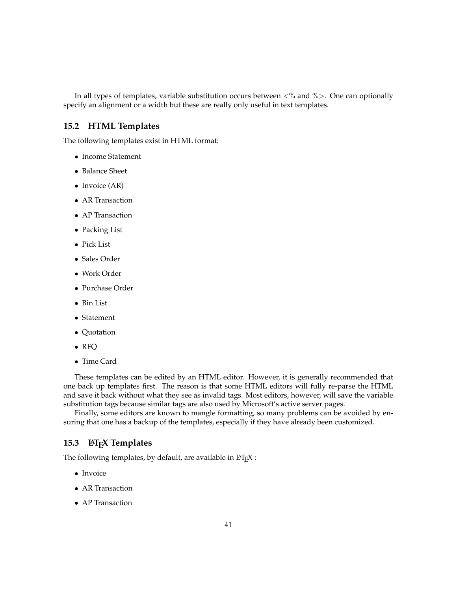In all types of templates, variable substitution occurs between  $\langle % \rangle$  and  $\langle % \rangle$ . One can optionally specify an alignment or a width but these are really only useful in text templates.

### <span id="page-40-0"></span>**15.2 HTML Templates**

The following templates exist in HTML format:

- Income Statement
- Balance Sheet
- Invoice (AR)
- AR Transaction
- AP Transaction
- Packing List
- Pick List
- Sales Order
- Work Order
- Purchase Order
- Bin List
- Statement
- Quotation
- RFQ
- Time Card

These templates can be edited by an HTML editor. However, it is generally recommended that one back up templates first. The reason is that some HTML editors will fully re-parse the HTML and save it back without what they see as invalid tags. Most editors, however, will save the variable substitution tags because similar tags are also used by Microsoft's active server pages.

Finally, some editors are known to mangle formatting, so many problems can be avoided by ensuring that one has a backup of the templates, especially if they have already been customized.

### <span id="page-40-1"></span>**15.3 LATEX Templates**

The following templates, by default, are available in  $\mathbb{F} \to \mathbb{F}$ .

- Invoice
- AR Transaction
- AP Transaction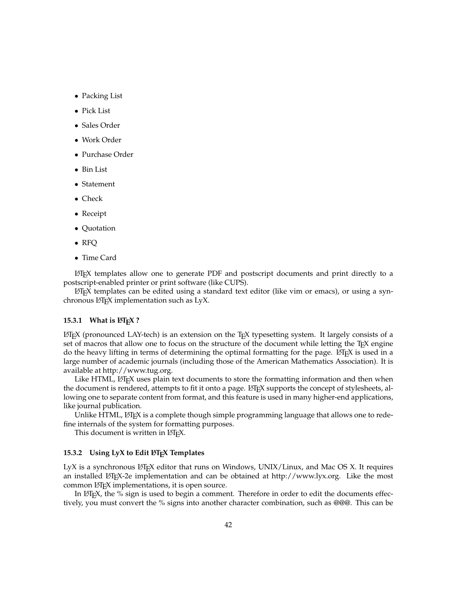- Packing List
- Pick List
- Sales Order
- Work Order
- Purchase Order
- Bin List
- Statement
- Check
- Receipt
- Quotation
- RFQ
- Time Card

 $LFT<sub>F</sub>X$  templates allow one to generate PDF and postscript documents and print directly to a postscript-enabled printer or print software (like CUPS).

 $\Delta E$ <sub>E</sub>X templates can be edited using a standard text editor (like vim or emacs), or using a synchronous LAT<sub>E</sub>X implementation such as LyX.

### <span id="page-41-0"></span>**15.3.1 What is LATEX?**

 $\Delta E$ <sub>EX</sub> (pronounced LAY-tech) is an extension on the T<sub>EX</sub> typesetting system. It largely consists of a set of macros that allow one to focus on the structure of the document while letting the T<sub>E</sub>X engine do the heavy lifting in terms of determining the optimal formatting for the page.  $\mathcal{B}T$ FX is used in a large number of academic journals (including those of the American Mathematics Association). It is available at [http://www.tug.org.](http://www.tug.org)

Like HTML, LATEX uses plain text documents to store the formatting information and then when the document is rendered, attempts to fit it onto a page. LHEX supports the concept of stylesheets, allowing one to separate content from format, and this feature is used in many higher-end applications, like journal publication.

Unlike HTML, LHFX is a complete though simple programming language that allows one to redefine internals of the system for formatting purposes.

This document is written in LAT<sub>E</sub>X.

#### <span id="page-41-1"></span>15.3.2 Using LyX to Edit L<sup>A</sup>T<sub>E</sub>X Templates

LyX is a synchronous LHEX editor that runs on Windows, UNIX/Linux, and Mac OS X. It requires an installed LHFX-2e implementation and can be obtained at [http://www.lyx.org.](http://www.lyx.org) Like the most common LAT<sub>E</sub>X implementations, it is open source.

In LATEX, the  $\%$  sign is used to begin a comment. Therefore in order to edit the documents effectively, you must convert the % signs into another character combination, such as @@@. This can be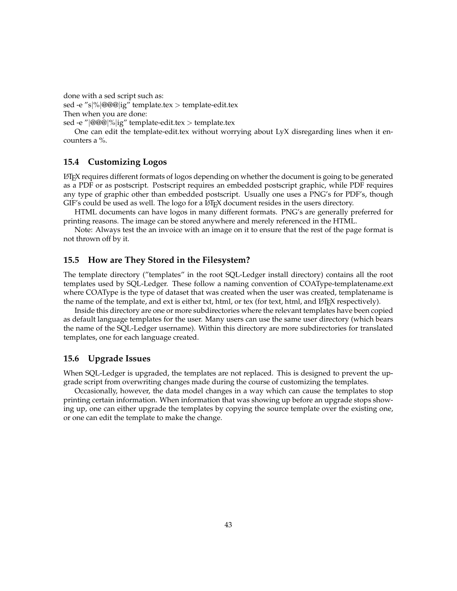done with a sed script such as: sed -e "s|%|@@@|ig" template.tex > template-edit.tex Then when you are done:

sed -e "|@@@|%|ig" template-edit.tex > template.tex

One can edit the template-edit.tex without worrying about LyX disregarding lines when it encounters a %.

# <span id="page-42-0"></span>**15.4 Customizing Logos**

LATEX requires different formats of logos depending on whether the document is going to be generated as a PDF or as postscript. Postscript requires an embedded postscript graphic, while PDF requires any type of graphic other than embedded postscript. Usually one uses a PNG's for PDF's, though  $GIF's$  could be used as well. The logo for a  $ETFX$  document resides in the users directory.

HTML documents can have logos in many different formats. PNG's are generally preferred for printing reasons. The image can be stored anywhere and merely referenced in the HTML.

Note: Always test the an invoice with an image on it to ensure that the rest of the page format is not thrown off by it.

# <span id="page-42-1"></span>**15.5 How are They Stored in the Filesystem?**

The template directory ("templates" in the root SQL-Ledger install directory) contains all the root templates used by SQL-Ledger. These follow a naming convention of COAType-templatename.ext where COAType is the type of dataset that was created when the user was created, templatename is the name of the template, and ext is either txt, html, or tex (for text, html, and LATEX respectively).

Inside this directory are one or more subdirectories where the relevant templates have been copied as default language templates for the user. Many users can use the same user directory (which bears the name of the SQL-Ledger username). Within this directory are more subdirectories for translated templates, one for each language created.

### <span id="page-42-2"></span>**15.6 Upgrade Issues**

When SQL-Ledger is upgraded, the templates are not replaced. This is designed to prevent the upgrade script from overwriting changes made during the course of customizing the templates.

Occasionally, however, the data model changes in a way which can cause the templates to stop printing certain information. When information that was showing up before an upgrade stops showing up, one can either upgrade the templates by copying the source template over the existing one, or one can edit the template to make the change.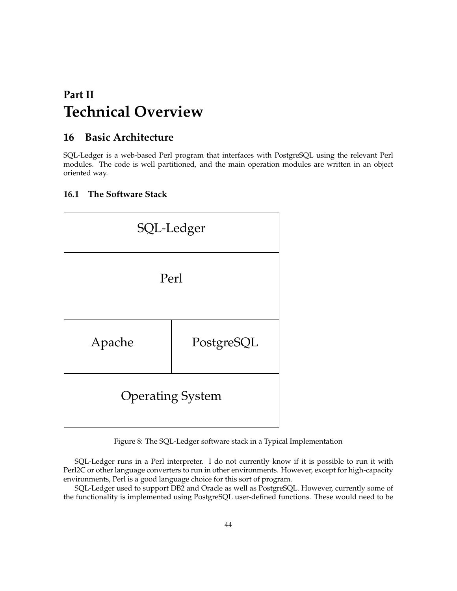# <span id="page-43-0"></span>**Part II Technical Overview**

# <span id="page-43-1"></span>**16 Basic Architecture**

SQL-Ledger is a web-based Perl program that interfaces with PostgreSQL using the relevant Perl modules. The code is well partitioned, and the main operation modules are written in an object oriented way.

# <span id="page-43-2"></span>**16.1 The Software Stack**



<span id="page-43-3"></span>Figure 8: The SQL-Ledger software stack in a Typical Implementation

SQL-Ledger runs in a Perl interpreter. I do not currently know if it is possible to run it with Perl2C or other language converters to run in other environments. However, except for high-capacity environments, Perl is a good language choice for this sort of program.

SQL-Ledger used to support DB2 and Oracle as well as PostgreSQL. However, currently some of the functionality is implemented using PostgreSQL user-defined functions. These would need to be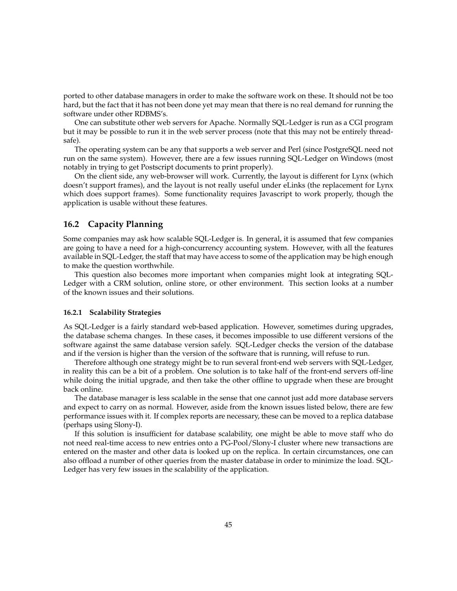ported to other database managers in order to make the software work on these. It should not be too hard, but the fact that it has not been done yet may mean that there is no real demand for running the software under other RDBMS's.

One can substitute other web servers for Apache. Normally SQL-Ledger is run as a CGI program but it may be possible to run it in the web server process (note that this may not be entirely threadsafe).

The operating system can be any that supports a web server and Perl (since PostgreSQL need not run on the same system). However, there are a few issues running SQL-Ledger on Windows (most notably in trying to get Postscript documents to print properly).

On the client side, any web-browser will work. Currently, the layout is different for Lynx (which doesn't support frames), and the layout is not really useful under eLinks (the replacement for Lynx which does support frames). Some functionality requires Javascript to work properly, though the application is usable without these features.

### <span id="page-44-0"></span>**16.2 Capacity Planning**

Some companies may ask how scalable SQL-Ledger is. In general, it is assumed that few companies are going to have a need for a high-concurrency accounting system. However, with all the features available in SQL-Ledger, the staff that may have access to some of the application may be high enough to make the question worthwhile.

This question also becomes more important when companies might look at integrating SQL-Ledger with a CRM solution, online store, or other environment. This section looks at a number of the known issues and their solutions.

### <span id="page-44-1"></span>**16.2.1 Scalability Strategies**

As SQL-Ledger is a fairly standard web-based application. However, sometimes during upgrades, the database schema changes. In these cases, it becomes impossible to use different versions of the software against the same database version safely. SQL-Ledger checks the version of the database and if the version is higher than the version of the software that is running, will refuse to run.

Therefore although one strategy might be to run several front-end web servers with SQL-Ledger, in reality this can be a bit of a problem. One solution is to take half of the front-end servers off-line while doing the initial upgrade, and then take the other offline to upgrade when these are brought back online.

The database manager is less scalable in the sense that one cannot just add more database servers and expect to carry on as normal. However, aside from the known issues listed below, there are few performance issues with it. If complex reports are necessary, these can be moved to a replica database (perhaps using Slony-I).

If this solution is insufficient for database scalability, one might be able to move staff who do not need real-time access to new entries onto a PG-Pool/Slony-I cluster where new transactions are entered on the master and other data is looked up on the replica. In certain circumstances, one can also offload a number of other queries from the master database in order to minimize the load. SQL-Ledger has very few issues in the scalability of the application.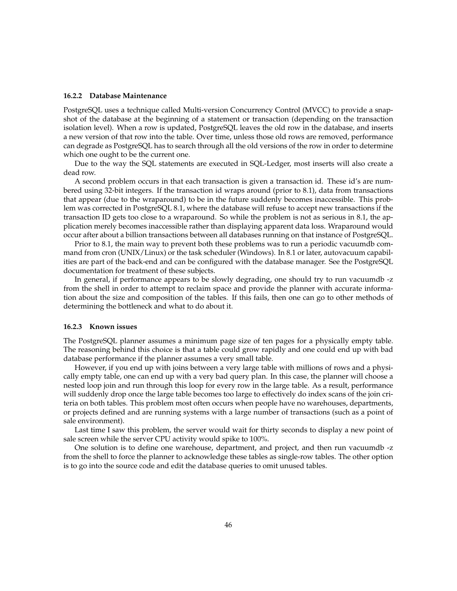#### <span id="page-45-0"></span>**16.2.2 Database Maintenance**

PostgreSQL uses a technique called Multi-version Concurrency Control (MVCC) to provide a snapshot of the database at the beginning of a statement or transaction (depending on the transaction isolation level). When a row is updated, PostgreSQL leaves the old row in the database, and inserts a new version of that row into the table. Over time, unless those old rows are removed, performance can degrade as PostgreSQL has to search through all the old versions of the row in order to determine which one ought to be the current one.

Due to the way the SQL statements are executed in SQL-Ledger, most inserts will also create a dead row.

A second problem occurs in that each transaction is given a transaction id. These id's are numbered using 32-bit integers. If the transaction id wraps around (prior to 8.1), data from transactions that appear (due to the wraparound) to be in the future suddenly becomes inaccessible. This problem was corrected in PostgreSQL 8.1, where the database will refuse to accept new transactions if the transaction ID gets too close to a wraparound. So while the problem is not as serious in 8.1, the application merely becomes inaccessible rather than displaying apparent data loss. Wraparound would occur after about a billion transactions between all databases running on that instance of PostgreSQL.

Prior to 8.1, the main way to prevent both these problems was to run a periodic vacuumdb command from cron (UNIX/Linux) or the task scheduler (Windows). In 8.1 or later, autovacuum capabilities are part of the back-end and can be configured with the database manager. See the PostgreSQL documentation for treatment of these subjects.

In general, if performance appears to be slowly degrading, one should try to run vacuumdb -z from the shell in order to attempt to reclaim space and provide the planner with accurate information about the size and composition of the tables. If this fails, then one can go to other methods of determining the bottleneck and what to do about it.

#### <span id="page-45-1"></span>**16.2.3 Known issues**

The PostgreSQL planner assumes a minimum page size of ten pages for a physically empty table. The reasoning behind this choice is that a table could grow rapidly and one could end up with bad database performance if the planner assumes a very small table.

However, if you end up with joins between a very large table with millions of rows and a physically empty table, one can end up with a very bad query plan. In this case, the planner will choose a nested loop join and run through this loop for every row in the large table. As a result, performance will suddenly drop once the large table becomes too large to effectively do index scans of the join criteria on both tables. This problem most often occurs when people have no warehouses, departments, or projects defined and are running systems with a large number of transactions (such as a point of sale environment).

Last time I saw this problem, the server would wait for thirty seconds to display a new point of sale screen while the server CPU activity would spike to 100%.

One solution is to define one warehouse, department, and project, and then run vacuumdb -z from the shell to force the planner to acknowledge these tables as single-row tables. The other option is to go into the source code and edit the database queries to omit unused tables.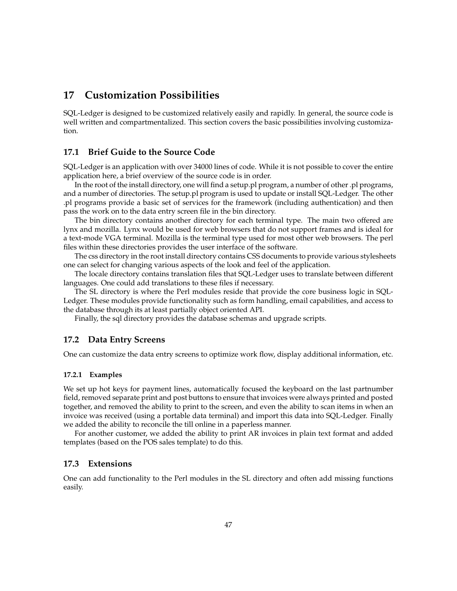# <span id="page-46-0"></span>**17 Customization Possibilities**

SQL-Ledger is designed to be customized relatively easily and rapidly. In general, the source code is well written and compartmentalized. This section covers the basic possibilities involving customization.

# <span id="page-46-1"></span>**17.1 Brief Guide to the Source Code**

SQL-Ledger is an application with over 34000 lines of code. While it is not possible to cover the entire application here, a brief overview of the source code is in order.

In the root of the install directory, one will find a setup.pl program, a number of other .pl programs, and a number of directories. The setup.pl program is used to update or install SQL-Ledger. The other .pl programs provide a basic set of services for the framework (including authentication) and then pass the work on to the data entry screen file in the bin directory.

The bin directory contains another directory for each terminal type. The main two offered are lynx and mozilla. Lynx would be used for web browsers that do not support frames and is ideal for a text-mode VGA terminal. Mozilla is the terminal type used for most other web browsers. The perl files within these directories provides the user interface of the software.

The css directory in the root install directory contains CSS documents to provide various stylesheets one can select for changing various aspects of the look and feel of the application.

The locale directory contains translation files that SQL-Ledger uses to translate between different languages. One could add translations to these files if necessary.

The SL directory is where the Perl modules reside that provide the core business logic in SQL-Ledger. These modules provide functionality such as form handling, email capabilities, and access to the database through its at least partially object oriented API.

Finally, the sql directory provides the database schemas and upgrade scripts.

### <span id="page-46-2"></span>**17.2 Data Entry Screens**

One can customize the data entry screens to optimize work flow, display additional information, etc.

### <span id="page-46-3"></span>**17.2.1 Examples**

We set up hot keys for payment lines, automatically focused the keyboard on the last partnumber field, removed separate print and post buttons to ensure that invoices were always printed and posted together, and removed the ability to print to the screen, and even the ability to scan items in when an invoice was received (using a portable data terminal) and import this data into SQL-Ledger. Finally we added the ability to reconcile the till online in a paperless manner.

For another customer, we added the ability to print AR invoices in plain text format and added templates (based on the POS sales template) to do this.

## <span id="page-46-4"></span>**17.3 Extensions**

One can add functionality to the Perl modules in the SL directory and often add missing functions easily.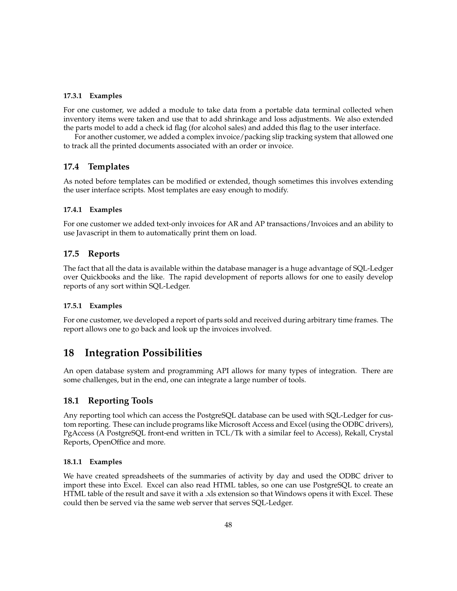### <span id="page-47-0"></span>**17.3.1 Examples**

For one customer, we added a module to take data from a portable data terminal collected when inventory items were taken and use that to add shrinkage and loss adjustments. We also extended the parts model to add a check id flag (for alcohol sales) and added this flag to the user interface.

For another customer, we added a complex invoice/packing slip tracking system that allowed one to track all the printed documents associated with an order or invoice.

# <span id="page-47-1"></span>**17.4 Templates**

As noted before templates can be modified or extended, though sometimes this involves extending the user interface scripts. Most templates are easy enough to modify.

### <span id="page-47-2"></span>**17.4.1 Examples**

For one customer we added text-only invoices for AR and AP transactions/Invoices and an ability to use Javascript in them to automatically print them on load.

### <span id="page-47-3"></span>**17.5 Reports**

The fact that all the data is available within the database manager is a huge advantage of SQL-Ledger over Quickbooks and the like. The rapid development of reports allows for one to easily develop reports of any sort within SQL-Ledger.

### <span id="page-47-4"></span>**17.5.1 Examples**

For one customer, we developed a report of parts sold and received during arbitrary time frames. The report allows one to go back and look up the invoices involved.

# <span id="page-47-5"></span>**18 Integration Possibilities**

An open database system and programming API allows for many types of integration. There are some challenges, but in the end, one can integrate a large number of tools.

### <span id="page-47-6"></span>**18.1 Reporting Tools**

Any reporting tool which can access the PostgreSQL database can be used with SQL-Ledger for custom reporting. These can include programs like Microsoft Access and Excel (using the ODBC drivers), PgAccess (A PostgreSQL front-end written in TCL/Tk with a similar feel to Access), Rekall, Crystal Reports, OpenOffice and more.

### <span id="page-47-7"></span>**18.1.1 Examples**

We have created spreadsheets of the summaries of activity by day and used the ODBC driver to import these into Excel. Excel can also read HTML tables, so one can use PostgreSQL to create an HTML table of the result and save it with a .xls extension so that Windows opens it with Excel. These could then be served via the same web server that serves SQL-Ledger.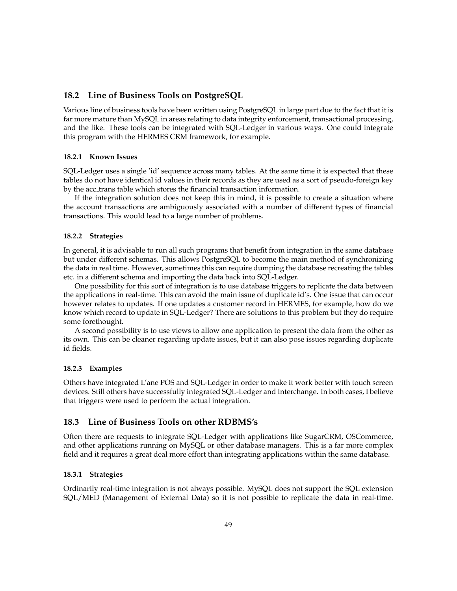### <span id="page-48-0"></span>**18.2 Line of Business Tools on PostgreSQL**

Various line of business tools have been written using PostgreSQL in large part due to the fact that it is far more mature than MySQL in areas relating to data integrity enforcement, transactional processing, and the like. These tools can be integrated with SQL-Ledger in various ways. One could integrate this program with the HERMES CRM framework, for example.

#### <span id="page-48-1"></span>**18.2.1 Known Issues**

SQL-Ledger uses a single 'id' sequence across many tables. At the same time it is expected that these tables do not have identical id values in their records as they are used as a sort of pseudo-foreign key by the acc trans table which stores the financial transaction information.

If the integration solution does not keep this in mind, it is possible to create a situation where the account transactions are ambiguously associated with a number of different types of financial transactions. This would lead to a large number of problems.

#### <span id="page-48-2"></span>**18.2.2 Strategies**

In general, it is advisable to run all such programs that benefit from integration in the same database but under different schemas. This allows PostgreSQL to become the main method of synchronizing the data in real time. However, sometimes this can require dumping the database recreating the tables etc. in a different schema and importing the data back into SQL-Ledger.

One possibility for this sort of integration is to use database triggers to replicate the data between the applications in real-time. This can avoid the main issue of duplicate id's. One issue that can occur however relates to updates. If one updates a customer record in HERMES, for example, how do we know which record to update in SQL-Ledger? There are solutions to this problem but they do require some forethought.

A second possibility is to use views to allow one application to present the data from the other as its own. This can be cleaner regarding update issues, but it can also pose issues regarding duplicate id fields.

#### <span id="page-48-3"></span>**18.2.3 Examples**

Others have integrated L'ane POS and SQL-Ledger in order to make it work better with touch screen devices. Still others have successfully integrated SQL-Ledger and Interchange. In both cases, I believe that triggers were used to perform the actual integration.

### <span id="page-48-4"></span>**18.3 Line of Business Tools on other RDBMS's**

Often there are requests to integrate SQL-Ledger with applications like SugarCRM, OSCommerce, and other applications running on MySQL or other database managers. This is a far more complex field and it requires a great deal more effort than integrating applications within the same database.

#### <span id="page-48-5"></span>**18.3.1 Strategies**

Ordinarily real-time integration is not always possible. MySQL does not support the SQL extension SQL/MED (Management of External Data) so it is not possible to replicate the data in real-time.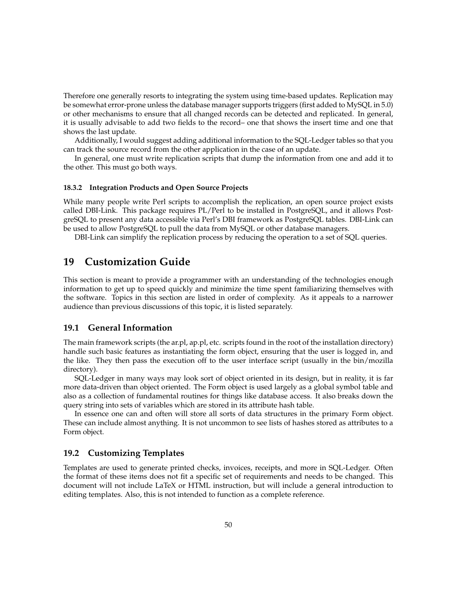Therefore one generally resorts to integrating the system using time-based updates. Replication may be somewhat error-prone unless the database manager supports triggers (first added to MySQL in 5.0) or other mechanisms to ensure that all changed records can be detected and replicated. In general, it is usually advisable to add two fields to the record– one that shows the insert time and one that shows the last update.

Additionally, I would suggest adding additional information to the SQL-Ledger tables so that you can track the source record from the other application in the case of an update.

In general, one must write replication scripts that dump the information from one and add it to the other. This must go both ways.

### <span id="page-49-0"></span>**18.3.2 Integration Products and Open Source Projects**

While many people write Perl scripts to accomplish the replication, an open source project exists called DBI-Link. This package requires PL/Perl to be installed in PostgreSQL, and it allows PostgreSQL to present any data accessible via Perl's DBI framework as PostgreSQL tables. DBI-Link can be used to allow PostgreSQL to pull the data from MySQL or other database managers.

DBI-Link can simplify the replication process by reducing the operation to a set of SQL queries.

# <span id="page-49-1"></span>**19 Customization Guide**

This section is meant to provide a programmer with an understanding of the technologies enough information to get up to speed quickly and minimize the time spent familiarizing themselves with the software. Topics in this section are listed in order of complexity. As it appeals to a narrower audience than previous discussions of this topic, it is listed separately.

## <span id="page-49-2"></span>**19.1 General Information**

The main framework scripts (the ar.pl, ap.pl, etc. scripts found in the root of the installation directory) handle such basic features as instantiating the form object, ensuring that the user is logged in, and the like. They then pass the execution off to the user interface script (usually in the bin/mozilla directory).

SQL-Ledger in many ways may look sort of object oriented in its design, but in reality, it is far more data-driven than object oriented. The Form object is used largely as a global symbol table and also as a collection of fundamental routines for things like database access. It also breaks down the query string into sets of variables which are stored in its attribute hash table.

In essence one can and often will store all sorts of data structures in the primary Form object. These can include almost anything. It is not uncommon to see lists of hashes stored as attributes to a Form object.

### <span id="page-49-3"></span>**19.2 Customizing Templates**

Templates are used to generate printed checks, invoices, receipts, and more in SQL-Ledger. Often the format of these items does not fit a specific set of requirements and needs to be changed. This document will not include LaTeX or HTML instruction, but will include a general introduction to editing templates. Also, this is not intended to function as a complete reference.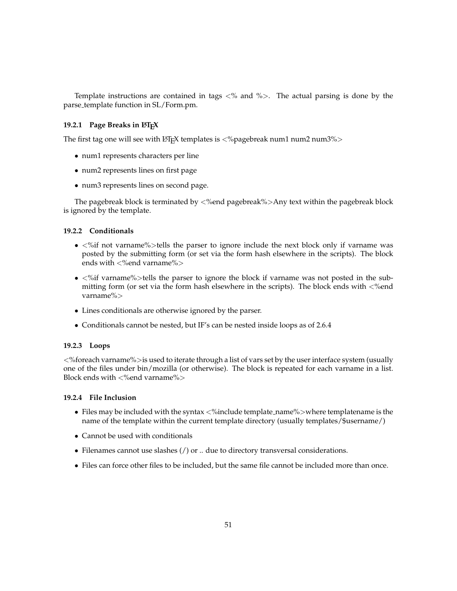Template instructions are contained in tags  $\lt$ % and % $>$ . The actual parsing is done by the parse template function in SL/Form.pm.

### <span id="page-50-0"></span>**19.2.1 Page Breaks in LATEX**

The first tag one will see with LATEX templates is  $\langle % \rangle$  and  $\langle$  num2 num3%  $\rangle$ 

- num1 represents characters per line
- num2 represents lines on first page
- num3 represents lines on second page.

The pagebreak block is terminated by  $\langle$ %end pagebreak%>Any text within the pagebreak block is ignored by the template.

### <span id="page-50-1"></span>**19.2.2 Conditionals**

- $\bullet$  <%if not varname%>tells the parser to ignore include the next block only if varname was posted by the submitting form (or set via the form hash elsewhere in the scripts). The block ends with  $\langle$ % end varname% $>$
- <%if varname%>tells the parser to ignore the block if varname was not posted in the submitting form (or set via the form hash elsewhere in the scripts). The block ends with <%end varname%>
- Lines conditionals are otherwise ignored by the parser.
- Conditionals cannot be nested, but IF's can be nested inside loops as of 2.6.4

#### <span id="page-50-2"></span>**19.2.3 Loops**

<%foreach varname%>is used to iterate through a list of vars set by the user interface system (usually one of the files under bin/mozilla (or otherwise). The block is repeated for each varname in a list. Block ends with  $\langle$ % end varname% $>$ 

### <span id="page-50-3"></span>**19.2.4 File Inclusion**

- Files may be included with the syntax <%include template\_name%>where templatename is the name of the template within the current template directory (usually templates/\$username/)
- Cannot be used with conditionals
- Filenames cannot use slashes (/) or .. due to directory transversal considerations.
- Files can force other files to be included, but the same file cannot be included more than once.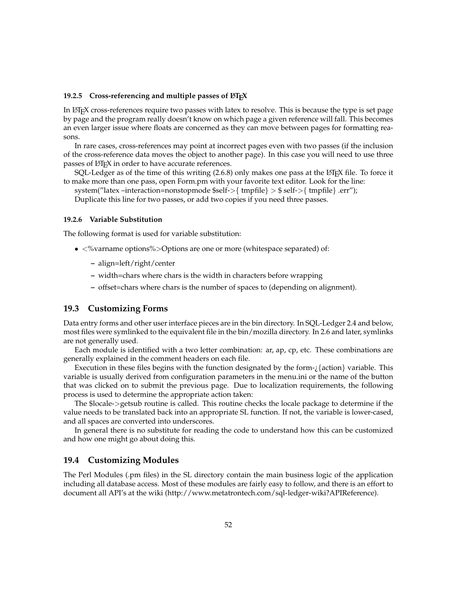### <span id="page-51-0"></span>19.2.5 Cross-referencing and multiple passes of LATEX

In LATEX cross-references require two passes with latex to resolve. This is because the type is set page by page and the program really doesn't know on which page a given reference will fall. This becomes an even larger issue where floats are concerned as they can move between pages for formatting reasons.

In rare cases, cross-references may point at incorrect pages even with two passes (if the inclusion of the cross-reference data moves the object to another page). In this case you will need to use three passes of LATEX in order to have accurate references.

SQL-Ledger as of the time of this writing  $(2.6.8)$  only makes one pass at the LATEX file. To force it to make more than one pass, open Form.pm with your favorite text editor. Look for the line:

system("latex –interaction=nonstopmode  $\{m\} > \$  enfile  $\} > \$ self- $>$ { tmpfile } .err");

Duplicate this line for two passes, or add two copies if you need three passes.

#### <span id="page-51-1"></span>**19.2.6 Variable Substitution**

The following format is used for variable substitution:

- $\langle % \rangle$  <% varname options% > Options are one or more (white space separated) of:
	- **–** align=left/right/center
	- **–** width=chars where chars is the width in characters before wrapping
	- **–** offset=chars where chars is the number of spaces to (depending on alignment).

### <span id="page-51-2"></span>**19.3 Customizing Forms**

Data entry forms and other user interface pieces are in the bin directory. In SQL-Ledger 2.4 and below, most files were symlinked to the equivalent file in the bin/mozilla directory. In 2.6 and later, symlinks are not generally used.

Each module is identified with a two letter combination: ar, ap, cp, etc. These combinations are generally explained in the comment headers on each file.

Execution in these files begins with the function designated by the form- $\chi$ {action} variable. This variable is usually derived from configuration parameters in the menu.ini or the name of the button that was clicked on to submit the previous page. Due to localization requirements, the following process is used to determine the appropriate action taken:

The \$locale->getsub routine is called. This routine checks the locale package to determine if the value needs to be translated back into an appropriate SL function. If not, the variable is lower-cased, and all spaces are converted into underscores.

In general there is no substitute for reading the code to understand how this can be customized and how one might go about doing this.

### <span id="page-51-3"></span>**19.4 Customizing Modules**

The Perl Modules (.pm files) in the SL directory contain the main business logic of the application including all database access. Most of these modules are fairly easy to follow, and there is an effort to document all API's at the wiki [\(http://www.metatrontech.com/sql-ledger-wiki?APIReference\)](http://www.metatrontech.com/sql-ledger-wiki?APIReference).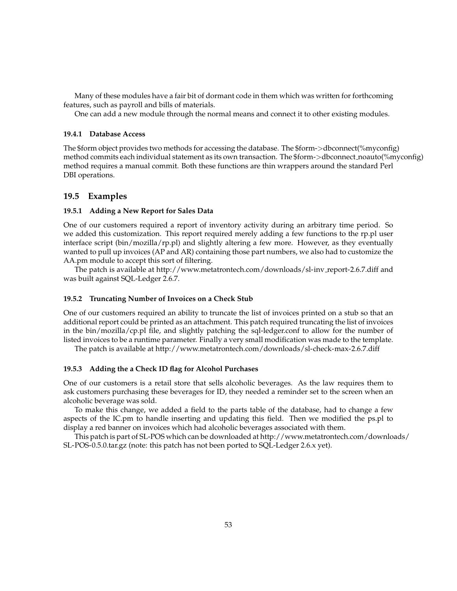Many of these modules have a fair bit of dormant code in them which was written for forthcoming features, such as payroll and bills of materials.

One can add a new module through the normal means and connect it to other existing modules.

### <span id="page-52-0"></span>**19.4.1 Database Access**

The \$form object provides two methods for accessing the database. The \$form->dbconnect(%myconfig) method commits each individual statement as its own transaction. The \$form->dbconnect noauto(%myconfig) method requires a manual commit. Both these functions are thin wrappers around the standard Perl DBI operations.

## <span id="page-52-1"></span>**19.5 Examples**

### <span id="page-52-2"></span>**19.5.1 Adding a New Report for Sales Data**

One of our customers required a report of inventory activity during an arbitrary time period. So we added this customization. This report required merely adding a few functions to the rp.pl user interface script (bin/mozilla/rp.pl) and slightly altering a few more. However, as they eventually wanted to pull up invoices (AP and AR) containing those part numbers, we also had to customize the AA.pm module to accept this sort of filtering.

The patch is available at [http://www.metatrontech.com/downloads/sl-inv](http://www.metatrontech.com/downloads/sl-inv_report-2.6.7.diff) report-2.6.7.diff and was built against SQL-Ledger 2.6.7.

### <span id="page-52-3"></span>**19.5.2 Truncating Number of Invoices on a Check Stub**

One of our customers required an ability to truncate the list of invoices printed on a stub so that an additional report could be printed as an attachment. This patch required truncating the list of invoices in the bin/mozilla/cp.pl file, and slightly patching the sql-ledger.conf to allow for the number of listed invoices to be a runtime parameter. Finally a very small modification was made to the template.

The patch is available at <http://www.metatrontech.com/downloads/sl-check-max-2.6.7.diff>

### <span id="page-52-4"></span>**19.5.3 Adding the a Check ID flag for Alcohol Purchases**

One of our customers is a retail store that sells alcoholic beverages. As the law requires them to ask customers purchasing these beverages for ID, they needed a reminder set to the screen when an alcoholic beverage was sold.

To make this change, we added a field to the parts table of the database, had to change a few aspects of the IC.pm to handle inserting and updating this field. Then we modified the ps.pl to display a red banner on invoices which had alcoholic beverages associated with them.

This patch is part of SL-POS which can be downloaded at [http://www.metatrontech.com/downloa](http://www.metatrontech.com/downloads/SL-POS-0.5.0.tar.gz)ds/ [SL-POS-0.5.0.tar.gz](http://www.metatrontech.com/downloads/SL-POS-0.5.0.tar.gz) (note: this patch has not been ported to SQL-Ledger 2.6.x yet).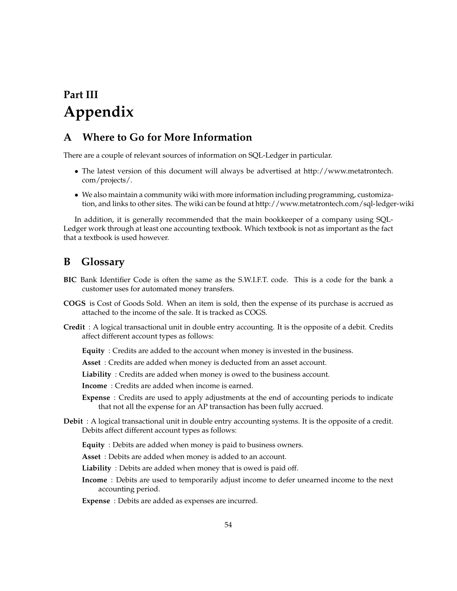# <span id="page-53-0"></span>**Part III Appendix**

# <span id="page-53-1"></span>**A Where to Go for More Information**

There are a couple of relevant sources of information on SQL-Ledger in particular.

- The latest version of this document will always be advertised at [http://www.metatrontech.](http://www.metatrontech.com/projects/) [com/projects/.](http://www.metatrontech.com/projects/)
- We also maintain a community wiki with more information including programming, customization, and links to other sites. The wiki can be found at <http://www.metatrontech.com/sql-ledger-wiki>

In addition, it is generally recommended that the main bookkeeper of a company using SQL-Ledger work through at least one accounting textbook. Which textbook is not as important as the fact that a textbook is used however.

# <span id="page-53-2"></span>**B Glossary**

- **BIC** Bank Identifier Code is often the same as the S.W.I.F.T. code. This is a code for the bank a customer uses for automated money transfers.
- **COGS** is Cost of Goods Sold. When an item is sold, then the expense of its purchase is accrued as attached to the income of the sale. It is tracked as COGS.
- **Credit** : A logical transactional unit in double entry accounting. It is the opposite of a debit. Credits affect different account types as follows:
	- **Equity** : Credits are added to the account when money is invested in the business.
	- **Asset** : Credits are added when money is deducted from an asset account.
	- **Liability** : Credits are added when money is owed to the business account.

**Income** : Credits are added when income is earned.

- **Expense** : Credits are used to apply adjustments at the end of accounting periods to indicate that not all the expense for an AP transaction has been fully accrued.
- **Debit** : A logical transactional unit in double entry accounting systems. It is the opposite of a credit. Debits affect different account types as follows:
	- **Equity** : Debits are added when money is paid to business owners.
	- **Asset** : Debits are added when money is added to an account.
	- **Liability** : Debits are added when money that is owed is paid off.
	- **Income** : Debits are used to temporarily adjust income to defer unearned income to the next accounting period.
	- **Expense** : Debits are added as expenses are incurred.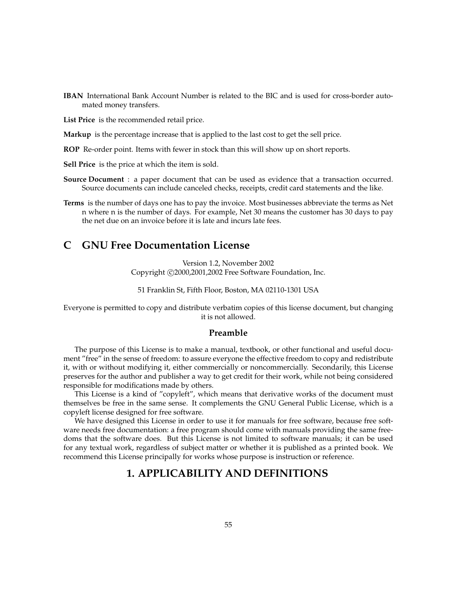**IBAN** International Bank Account Number is related to the BIC and is used for cross-border automated money transfers.

**List Price** is the recommended retail price.

**Markup** is the percentage increase that is applied to the last cost to get the sell price.

**ROP** Re-order point. Items with fewer in stock than this will show up on short reports.

**Sell Price** is the price at which the item is sold.

- **Source Document** : a paper document that can be used as evidence that a transaction occurred. Source documents can include canceled checks, receipts, credit card statements and the like.
- **Terms** is the number of days one has to pay the invoice. Most businesses abbreviate the terms as Net n where n is the number of days. For example, Net 30 means the customer has 30 days to pay the net due on an invoice before it is late and incurs late fees.

# <span id="page-54-0"></span>**C GNU Free Documentation License**

Version 1.2, November 2002 Copyright ©2000,2001,2002 Free Software Foundation, Inc.

51 Franklin St, Fifth Floor, Boston, MA 02110-1301 USA

Everyone is permitted to copy and distribute verbatim copies of this license document, but changing it is not allowed.

### <span id="page-54-1"></span>**Preamble**

The purpose of this License is to make a manual, textbook, or other functional and useful document "free" in the sense of freedom: to assure everyone the effective freedom to copy and redistribute it, with or without modifying it, either commercially or noncommercially. Secondarily, this License preserves for the author and publisher a way to get credit for their work, while not being considered responsible for modifications made by others.

This License is a kind of "copyleft", which means that derivative works of the document must themselves be free in the same sense. It complements the GNU General Public License, which is a copyleft license designed for free software.

We have designed this License in order to use it for manuals for free software, because free software needs free documentation: a free program should come with manuals providing the same freedoms that the software does. But this License is not limited to software manuals; it can be used for any textual work, regardless of subject matter or whether it is published as a printed book. We recommend this License principally for works whose purpose is instruction or reference.

# **1. APPLICABILITY AND DEFINITIONS**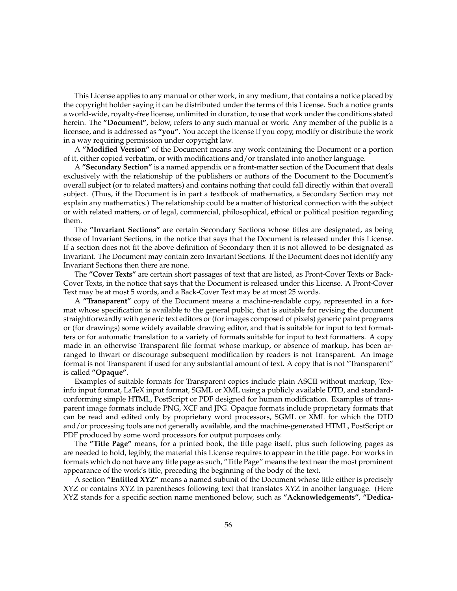This License applies to any manual or other work, in any medium, that contains a notice placed by the copyright holder saying it can be distributed under the terms of this License. Such a notice grants a world-wide, royalty-free license, unlimited in duration, to use that work under the conditions stated herein. The **"Document"**, below, refers to any such manual or work. Any member of the public is a licensee, and is addressed as **"you"**. You accept the license if you copy, modify or distribute the work in a way requiring permission under copyright law.

A **"Modified Version"** of the Document means any work containing the Document or a portion of it, either copied verbatim, or with modifications and/or translated into another language.

A **"Secondary Section"** is a named appendix or a front-matter section of the Document that deals exclusively with the relationship of the publishers or authors of the Document to the Document's overall subject (or to related matters) and contains nothing that could fall directly within that overall subject. (Thus, if the Document is in part a textbook of mathematics, a Secondary Section may not explain any mathematics.) The relationship could be a matter of historical connection with the subject or with related matters, or of legal, commercial, philosophical, ethical or political position regarding them.

The **"Invariant Sections"** are certain Secondary Sections whose titles are designated, as being those of Invariant Sections, in the notice that says that the Document is released under this License. If a section does not fit the above definition of Secondary then it is not allowed to be designated as Invariant. The Document may contain zero Invariant Sections. If the Document does not identify any Invariant Sections then there are none.

The **"Cover Texts"** are certain short passages of text that are listed, as Front-Cover Texts or Back-Cover Texts, in the notice that says that the Document is released under this License. A Front-Cover Text may be at most 5 words, and a Back-Cover Text may be at most 25 words.

A **"Transparent"** copy of the Document means a machine-readable copy, represented in a format whose specification is available to the general public, that is suitable for revising the document straightforwardly with generic text editors or (for images composed of pixels) generic paint programs or (for drawings) some widely available drawing editor, and that is suitable for input to text formatters or for automatic translation to a variety of formats suitable for input to text formatters. A copy made in an otherwise Transparent file format whose markup, or absence of markup, has been arranged to thwart or discourage subsequent modification by readers is not Transparent. An image format is not Transparent if used for any substantial amount of text. A copy that is not "Transparent" is called **"Opaque"**.

Examples of suitable formats for Transparent copies include plain ASCII without markup, Texinfo input format, LaTeX input format, SGML or XML using a publicly available DTD, and standardconforming simple HTML, PostScript or PDF designed for human modification. Examples of transparent image formats include PNG, XCF and JPG. Opaque formats include proprietary formats that can be read and edited only by proprietary word processors, SGML or XML for which the DTD and/or processing tools are not generally available, and the machine-generated HTML, PostScript or PDF produced by some word processors for output purposes only.

The **"Title Page"** means, for a printed book, the title page itself, plus such following pages as are needed to hold, legibly, the material this License requires to appear in the title page. For works in formats which do not have any title page as such, "Title Page" means the text near the most prominent appearance of the work's title, preceding the beginning of the body of the text.

A section **"Entitled XYZ"** means a named subunit of the Document whose title either is precisely XYZ or contains XYZ in parentheses following text that translates XYZ in another language. (Here XYZ stands for a specific section name mentioned below, such as **"Acknowledgements"**, **"Dedica-**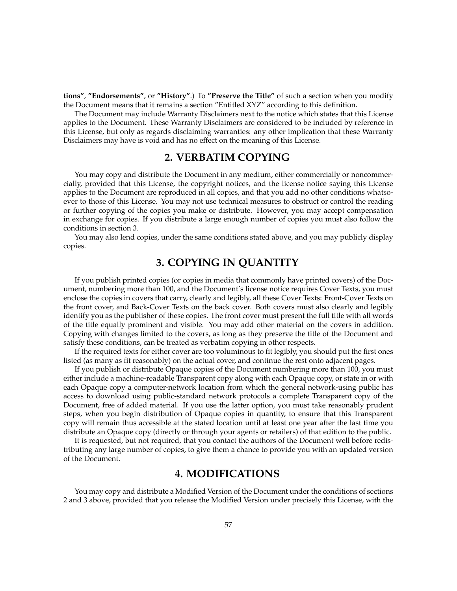**tions"**, **"Endorsements"**, or **"History"**.) To **"Preserve the Title"** of such a section when you modify the Document means that it remains a section "Entitled XYZ" according to this definition.

The Document may include Warranty Disclaimers next to the notice which states that this License applies to the Document. These Warranty Disclaimers are considered to be included by reference in this License, but only as regards disclaiming warranties: any other implication that these Warranty Disclaimers may have is void and has no effect on the meaning of this License.

# **2. VERBATIM COPYING**

You may copy and distribute the Document in any medium, either commercially or noncommercially, provided that this License, the copyright notices, and the license notice saying this License applies to the Document are reproduced in all copies, and that you add no other conditions whatsoever to those of this License. You may not use technical measures to obstruct or control the reading or further copying of the copies you make or distribute. However, you may accept compensation in exchange for copies. If you distribute a large enough number of copies you must also follow the conditions in section 3.

You may also lend copies, under the same conditions stated above, and you may publicly display copies.

# **3. COPYING IN QUANTITY**

If you publish printed copies (or copies in media that commonly have printed covers) of the Document, numbering more than 100, and the Document's license notice requires Cover Texts, you must enclose the copies in covers that carry, clearly and legibly, all these Cover Texts: Front-Cover Texts on the front cover, and Back-Cover Texts on the back cover. Both covers must also clearly and legibly identify you as the publisher of these copies. The front cover must present the full title with all words of the title equally prominent and visible. You may add other material on the covers in addition. Copying with changes limited to the covers, as long as they preserve the title of the Document and satisfy these conditions, can be treated as verbatim copying in other respects.

If the required texts for either cover are too voluminous to fit legibly, you should put the first ones listed (as many as fit reasonably) on the actual cover, and continue the rest onto adjacent pages.

If you publish or distribute Opaque copies of the Document numbering more than 100, you must either include a machine-readable Transparent copy along with each Opaque copy, or state in or with each Opaque copy a computer-network location from which the general network-using public has access to download using public-standard network protocols a complete Transparent copy of the Document, free of added material. If you use the latter option, you must take reasonably prudent steps, when you begin distribution of Opaque copies in quantity, to ensure that this Transparent copy will remain thus accessible at the stated location until at least one year after the last time you distribute an Opaque copy (directly or through your agents or retailers) of that edition to the public.

It is requested, but not required, that you contact the authors of the Document well before redistributing any large number of copies, to give them a chance to provide you with an updated version of the Document.

# **4. MODIFICATIONS**

You may copy and distribute a Modified Version of the Document under the conditions of sections 2 and 3 above, provided that you release the Modified Version under precisely this License, with the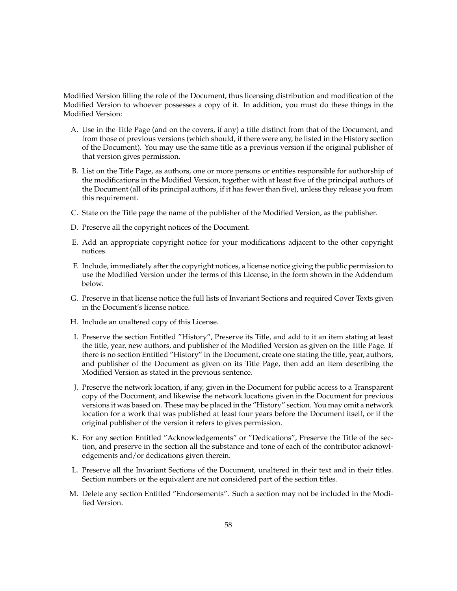Modified Version filling the role of the Document, thus licensing distribution and modification of the Modified Version to whoever possesses a copy of it. In addition, you must do these things in the Modified Version:

- A. Use in the Title Page (and on the covers, if any) a title distinct from that of the Document, and from those of previous versions (which should, if there were any, be listed in the History section of the Document). You may use the same title as a previous version if the original publisher of that version gives permission.
- B. List on the Title Page, as authors, one or more persons or entities responsible for authorship of the modifications in the Modified Version, together with at least five of the principal authors of the Document (all of its principal authors, if it has fewer than five), unless they release you from this requirement.
- C. State on the Title page the name of the publisher of the Modified Version, as the publisher.
- D. Preserve all the copyright notices of the Document.
- E. Add an appropriate copyright notice for your modifications adjacent to the other copyright notices.
- F. Include, immediately after the copyright notices, a license notice giving the public permission to use the Modified Version under the terms of this License, in the form shown in the Addendum below.
- G. Preserve in that license notice the full lists of Invariant Sections and required Cover Texts given in the Document's license notice.
- H. Include an unaltered copy of this License.
- I. Preserve the section Entitled "History", Preserve its Title, and add to it an item stating at least the title, year, new authors, and publisher of the Modified Version as given on the Title Page. If there is no section Entitled "History" in the Document, create one stating the title, year, authors, and publisher of the Document as given on its Title Page, then add an item describing the Modified Version as stated in the previous sentence.
- J. Preserve the network location, if any, given in the Document for public access to a Transparent copy of the Document, and likewise the network locations given in the Document for previous versions it was based on. These may be placed in the "History" section. You may omit a network location for a work that was published at least four years before the Document itself, or if the original publisher of the version it refers to gives permission.
- K. For any section Entitled "Acknowledgements" or "Dedications", Preserve the Title of the section, and preserve in the section all the substance and tone of each of the contributor acknowledgements and/or dedications given therein.
- L. Preserve all the Invariant Sections of the Document, unaltered in their text and in their titles. Section numbers or the equivalent are not considered part of the section titles.
- M. Delete any section Entitled "Endorsements". Such a section may not be included in the Modified Version.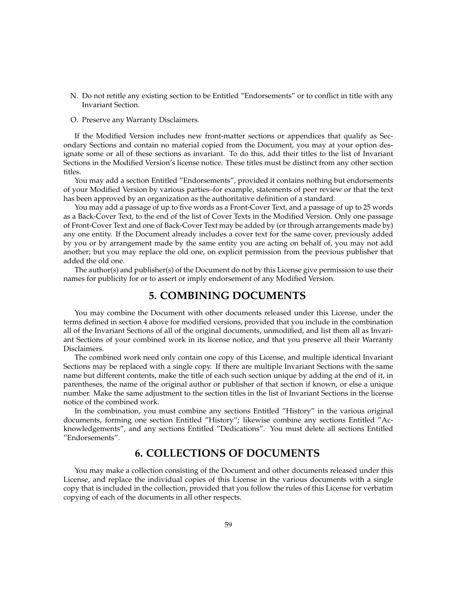- N. Do not retitle any existing section to be Entitled "Endorsements" or to conflict in title with any Invariant Section.
- O. Preserve any Warranty Disclaimers.

If the Modified Version includes new front-matter sections or appendices that qualify as Secondary Sections and contain no material copied from the Document, you may at your option designate some or all of these sections as invariant. To do this, add their titles to the list of Invariant Sections in the Modified Version's license notice. These titles must be distinct from any other section titles.

You may add a section Entitled "Endorsements", provided it contains nothing but endorsements of your Modified Version by various parties–for example, statements of peer review or that the text has been approved by an organization as the authoritative definition of a standard.

You may add a passage of up to five words as a Front-Cover Text, and a passage of up to 25 words as a Back-Cover Text, to the end of the list of Cover Texts in the Modified Version. Only one passage of Front-Cover Text and one of Back-Cover Text may be added by (or through arrangements made by) any one entity. If the Document already includes a cover text for the same cover, previously added by you or by arrangement made by the same entity you are acting on behalf of, you may not add another; but you may replace the old one, on explicit permission from the previous publisher that added the old one.

The author(s) and publisher(s) of the Document do not by this License give permission to use their names for publicity for or to assert or imply endorsement of any Modified Version.

# **5. COMBINING DOCUMENTS**

You may combine the Document with other documents released under this License, under the terms defined in section 4 above for modified versions, provided that you include in the combination all of the Invariant Sections of all of the original documents, unmodified, and list them all as Invariant Sections of your combined work in its license notice, and that you preserve all their Warranty Disclaimers.

The combined work need only contain one copy of this License, and multiple identical Invariant Sections may be replaced with a single copy. If there are multiple Invariant Sections with the same name but different contents, make the title of each such section unique by adding at the end of it, in parentheses, the name of the original author or publisher of that section if known, or else a unique number. Make the same adjustment to the section titles in the list of Invariant Sections in the license notice of the combined work.

In the combination, you must combine any sections Entitled "History" in the various original documents, forming one section Entitled "History"; likewise combine any sections Entitled "Acknowledgements", and any sections Entitled "Dedications". You must delete all sections Entitled "Endorsements".

# **6. COLLECTIONS OF DOCUMENTS**

You may make a collection consisting of the Document and other documents released under this License, and replace the individual copies of this License in the various documents with a single copy that is included in the collection, provided that you follow the rules of this License for verbatim copying of each of the documents in all other respects.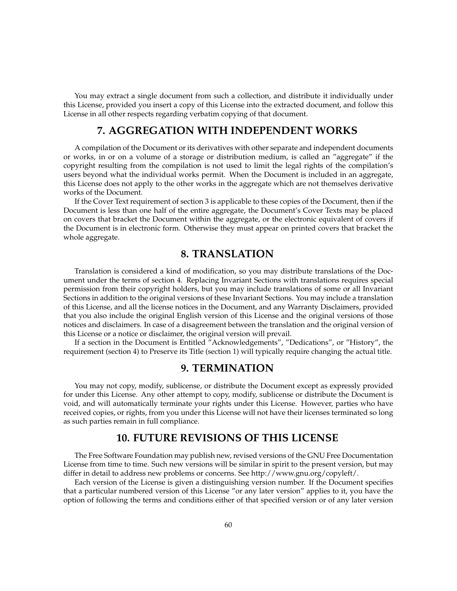You may extract a single document from such a collection, and distribute it individually under this License, provided you insert a copy of this License into the extracted document, and follow this License in all other respects regarding verbatim copying of that document.

# **7. AGGREGATION WITH INDEPENDENT WORKS**

A compilation of the Document or its derivatives with other separate and independent documents or works, in or on a volume of a storage or distribution medium, is called an "aggregate" if the copyright resulting from the compilation is not used to limit the legal rights of the compilation's users beyond what the individual works permit. When the Document is included in an aggregate, this License does not apply to the other works in the aggregate which are not themselves derivative works of the Document.

If the Cover Text requirement of section 3 is applicable to these copies of the Document, then if the Document is less than one half of the entire aggregate, the Document's Cover Texts may be placed on covers that bracket the Document within the aggregate, or the electronic equivalent of covers if the Document is in electronic form. Otherwise they must appear on printed covers that bracket the whole aggregate.

# **8. TRANSLATION**

Translation is considered a kind of modification, so you may distribute translations of the Document under the terms of section 4. Replacing Invariant Sections with translations requires special permission from their copyright holders, but you may include translations of some or all Invariant Sections in addition to the original versions of these Invariant Sections. You may include a translation of this License, and all the license notices in the Document, and any Warranty Disclaimers, provided that you also include the original English version of this License and the original versions of those notices and disclaimers. In case of a disagreement between the translation and the original version of this License or a notice or disclaimer, the original version will prevail.

If a section in the Document is Entitled "Acknowledgements", "Dedications", or "History", the requirement (section 4) to Preserve its Title (section 1) will typically require changing the actual title.

# **9. TERMINATION**

You may not copy, modify, sublicense, or distribute the Document except as expressly provided for under this License. Any other attempt to copy, modify, sublicense or distribute the Document is void, and will automatically terminate your rights under this License. However, parties who have received copies, or rights, from you under this License will not have their licenses terminated so long as such parties remain in full compliance.

# **10. FUTURE REVISIONS OF THIS LICENSE**

The Free Software Foundation may publish new, revised versions of the GNU Free Documentation License from time to time. Such new versions will be similar in spirit to the present version, but may differ in detail to address new problems or concerns. See http://www.gnu.org/copyleft/.

Each version of the License is given a distinguishing version number. If the Document specifies that a particular numbered version of this License "or any later version" applies to it, you have the option of following the terms and conditions either of that specified version or of any later version